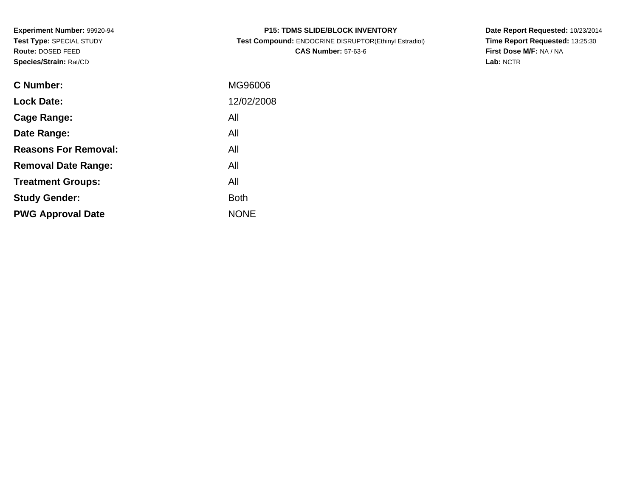**Experiment Number:** 99920-94**Test Type:** SPECIAL STUDY**Route:** DOSED FEED**Species/Strain:** Rat/CD

| <b>P15: TDMS SLIDE/BLOCK INVENTORY</b>                |
|-------------------------------------------------------|
| Test Compound: ENDOCRINE DISRUPTOR(Ethinyl Estradiol) |
| <b>CAS Number: 57-63-6</b>                            |

**Date Report Requested:** 10/23/2014 **Time Report Requested:** 13:25:30**First Dose M/F:** NA / NA**Lab:** NCTR

| C Number:                   | MG96006     |
|-----------------------------|-------------|
| <b>Lock Date:</b>           | 12/02/2008  |
| Cage Range:                 | All         |
| Date Range:                 | All         |
| <b>Reasons For Removal:</b> | All         |
| <b>Removal Date Range:</b>  | All         |
| <b>Treatment Groups:</b>    | All         |
| <b>Study Gender:</b>        | <b>Both</b> |
| <b>PWG Approval Date</b>    | <b>NONE</b> |
|                             |             |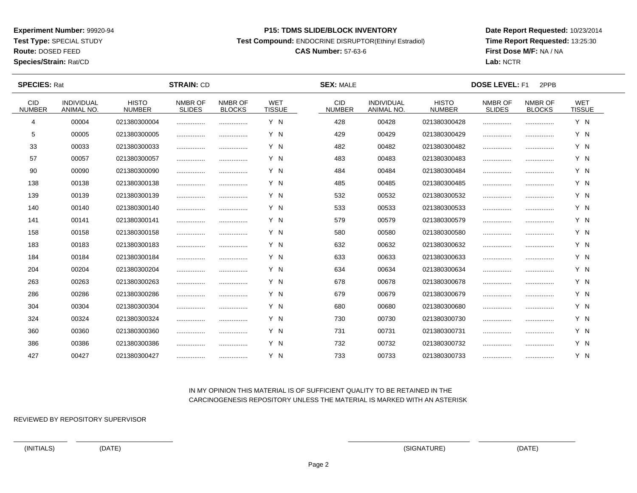**Test Type:** SPECIAL STUDY

**Route:** DOSED FEED

**Species/Strain:** Rat/CD

#### **P15: TDMS SLIDE/BLOCK INVENTORY**

**Test Compound:** ENDOCRINE DISRUPTOR(Ethinyl Estradiol)

# **CAS Number:** 57-63-6

**Date Report Requested:** 10/23/2014**Time Report Requested:** 13:25:30**First Dose M/F:** NA / NA**Lab:** NCTR

 $\overline{\phantom{a}}$ 

| <b>SPECIES: Rat</b>         |                                        |                               | <b>STRAIN: CD</b>        |                          |                             | <b>SEX: MALE</b>            |                                 | <b>DOSE LEVEL: F1</b><br>2PPB |                          |                          |                             |  |
|-----------------------------|----------------------------------------|-------------------------------|--------------------------|--------------------------|-----------------------------|-----------------------------|---------------------------------|-------------------------------|--------------------------|--------------------------|-----------------------------|--|
| <b>CID</b><br><b>NUMBER</b> | <b>INDIVIDUAL</b><br><b>ANIMAL NO.</b> | <b>HISTO</b><br><b>NUMBER</b> | NMBR OF<br><b>SLIDES</b> | NMBR OF<br><b>BLOCKS</b> | <b>WET</b><br><b>TISSUE</b> | <b>CID</b><br><b>NUMBER</b> | <b>INDIVIDUAL</b><br>ANIMAL NO. | <b>HISTO</b><br><b>NUMBER</b> | NMBR OF<br><b>SLIDES</b> | NMBR OF<br><b>BLOCKS</b> | <b>WET</b><br><b>TISSUE</b> |  |
| 4                           | 00004                                  | 021380300004                  |                          |                          | Y N                         | 428                         | 00428                           | 021380300428                  |                          |                          | Y N                         |  |
| 5                           | 00005                                  | 021380300005                  |                          |                          | Y N                         | 429                         | 00429                           | 021380300429                  |                          |                          | Y N                         |  |
| 33                          | 00033                                  | 021380300033                  |                          |                          | Y N                         | 482                         | 00482                           | 021380300482                  |                          |                          | Y N                         |  |
| 57                          | 00057                                  | 021380300057                  |                          |                          | Y N                         | 483                         | 00483                           | 021380300483                  |                          |                          | Y N                         |  |
| 90                          | 00090                                  | 021380300090                  |                          | .                        | Y N                         | 484                         | 00484                           | 021380300484                  |                          |                          | Y N                         |  |
| 138                         | 00138                                  | 021380300138                  |                          | .                        | Y N                         | 485                         | 00485                           | 021380300485                  |                          |                          | Y N                         |  |
| 139                         | 00139                                  | 021380300139                  |                          |                          | Y N                         | 532                         | 00532                           | 021380300532                  |                          |                          | Y N                         |  |
| 140                         | 00140                                  | 021380300140                  |                          | .                        | Y N                         | 533                         | 00533                           | 021380300533                  |                          |                          | Y N                         |  |
| 141                         | 00141                                  | 021380300141                  |                          |                          | Y N                         | 579                         | 00579                           | 021380300579                  |                          |                          | Y N                         |  |
| 158                         | 00158                                  | 021380300158                  |                          |                          | Y N                         | 580                         | 00580                           | 021380300580                  |                          |                          | Y N                         |  |
| 183                         | 00183                                  | 021380300183                  |                          | .                        | Y N                         | 632                         | 00632                           | 021380300632                  |                          |                          | Y N                         |  |
| 184                         | 00184                                  | 021380300184                  |                          |                          | Y N                         | 633                         | 00633                           | 021380300633                  |                          |                          | Y N                         |  |
| 204                         | 00204                                  | 021380300204                  |                          |                          | Y N                         | 634                         | 00634                           | 021380300634                  |                          |                          | Y N                         |  |
| 263                         | 00263                                  | 021380300263                  |                          |                          | Y N                         | 678                         | 00678                           | 021380300678                  |                          |                          | Y N                         |  |
| 286                         | 00286                                  | 021380300286                  |                          |                          | Y N                         | 679                         | 00679                           | 021380300679                  |                          |                          | Y N                         |  |
| 304                         | 00304                                  | 021380300304                  |                          |                          | Y N                         | 680                         | 00680                           | 021380300680                  |                          |                          | Y N                         |  |
| 324                         | 00324                                  | 021380300324                  |                          | .                        | Y N                         | 730                         | 00730                           | 021380300730                  |                          |                          | Y N                         |  |
| 360                         | 00360                                  | 021380300360                  |                          |                          | Y N                         | 731                         | 00731                           | 021380300731                  |                          |                          | Y N                         |  |
| 386                         | 00386                                  | 021380300386                  | .                        |                          | Y N                         | 732                         | 00732                           | 021380300732                  |                          |                          | Y N                         |  |
| 427                         | 00427                                  | 021380300427                  |                          |                          | Y N                         | 733                         | 00733                           | 021380300733                  |                          |                          | Y N                         |  |

## IN MY OPINION THIS MATERIAL IS OF SUFFICIENT QUALITY TO BE RETAINED IN THECARCINOGENESIS REPOSITORY UNLESS THE MATERIAL IS MARKED WITH AN ASTERISK

REVIEWED BY REPOSITORY SUPERVISOR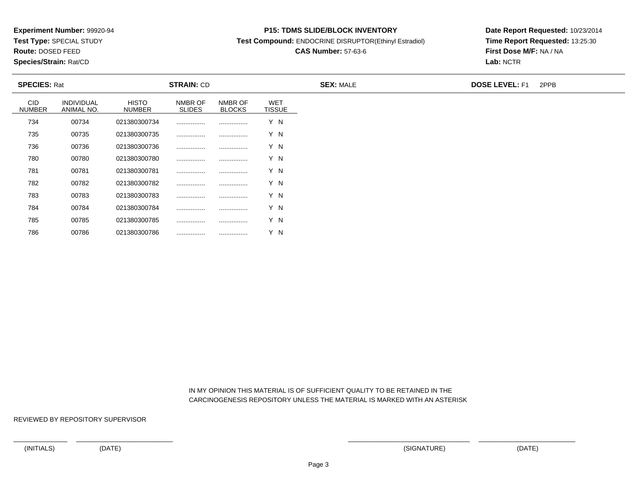**Test Type:** SPECIAL STUDY

**Route:** DOSED FEED

**Species/Strain:** Rat/CD

#### **P15: TDMS SLIDE/BLOCK INVENTORY**

**Test Compound:** ENDOCRINE DISRUPTOR(Ethinyl Estradiol)

# **CAS Number:** 57-63-6

**Date Report Requested:** 10/23/2014**Time Report Requested:** 13:25:30**First Dose M/F:** NA / NA**Lab:** NCTR

|                             | <b>SPECIES: Rat</b>             |                               | <b>STRAIN: CD</b>        |                          |                             | <b>SEX: MALE</b> | <b>DOSE LEVEL: F1</b><br>2PPB |  |  |
|-----------------------------|---------------------------------|-------------------------------|--------------------------|--------------------------|-----------------------------|------------------|-------------------------------|--|--|
| <b>CID</b><br><b>NUMBER</b> | <b>INDIVIDUAL</b><br>ANIMAL NO. | <b>HISTO</b><br><b>NUMBER</b> | NMBR OF<br><b>SLIDES</b> | NMBR OF<br><b>BLOCKS</b> | <b>WET</b><br><b>TISSUE</b> |                  |                               |  |  |
| 734                         | 00734                           | 021380300734                  | .                        |                          | Y N                         |                  |                               |  |  |
| 735                         | 00735                           | 021380300735                  |                          |                          | Y N                         |                  |                               |  |  |
| 736                         | 00736                           | 021380300736                  |                          |                          | Y N                         |                  |                               |  |  |
| 780                         | 00780                           | 021380300780                  |                          |                          | Y N                         |                  |                               |  |  |
| 781                         | 00781                           | 021380300781                  |                          |                          | Y N                         |                  |                               |  |  |
| 782                         | 00782                           | 021380300782                  |                          |                          | Y N                         |                  |                               |  |  |
| 783                         | 00783                           | 021380300783                  |                          |                          | Y N                         |                  |                               |  |  |
| 784                         | 00784                           | 021380300784                  |                          |                          | Y N                         |                  |                               |  |  |
| 785                         | 00785                           | 021380300785                  |                          |                          | Y N                         |                  |                               |  |  |
| 786                         | 00786                           | 021380300786                  |                          |                          | Y N                         |                  |                               |  |  |

 IN MY OPINION THIS MATERIAL IS OF SUFFICIENT QUALITY TO BE RETAINED IN THECARCINOGENESIS REPOSITORY UNLESS THE MATERIAL IS MARKED WITH AN ASTERISK

REVIEWED BY REPOSITORY SUPERVISOR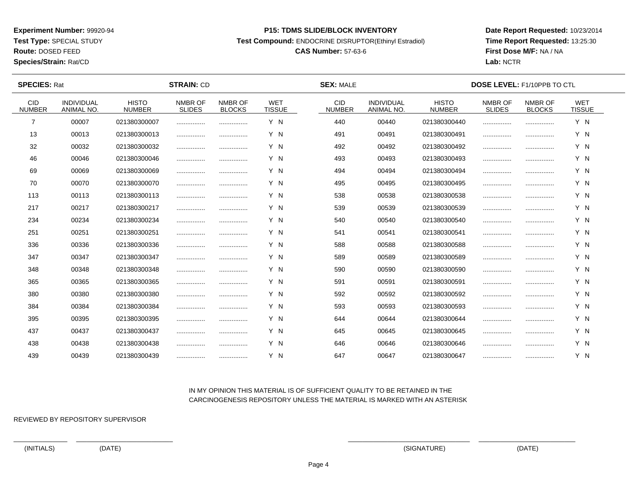**Test Type:** SPECIAL STUDY

**Route:** DOSED FEED

**Species/Strain:** Rat/CD

#### **P15: TDMS SLIDE/BLOCK INVENTORY**

**Test Compound:** ENDOCRINE DISRUPTOR(Ethinyl Estradiol)

# **CAS Number:** 57-63-6

**Date Report Requested:** 10/23/2014**Time Report Requested:** 13:25:30**First Dose M/F:** NA / NA**Lab:** NCTR

| <b>SPECIES: Rat</b>         |                                        |                               | <b>STRAIN: CD</b>        |                          |                             | <b>SEX: MALE</b>      |                                        | <b>DOSE LEVEL: F1/10PPB TO CTL</b> |                          |                          |                             |  |
|-----------------------------|----------------------------------------|-------------------------------|--------------------------|--------------------------|-----------------------------|-----------------------|----------------------------------------|------------------------------------|--------------------------|--------------------------|-----------------------------|--|
| <b>CID</b><br><b>NUMBER</b> | <b>INDIVIDUAL</b><br><b>ANIMAL NO.</b> | <b>HISTO</b><br><b>NUMBER</b> | NMBR OF<br><b>SLIDES</b> | NMBR OF<br><b>BLOCKS</b> | <b>WET</b><br><b>TISSUE</b> | CID.<br><b>NUMBER</b> | <b>INDIVIDUAL</b><br><b>ANIMAL NO.</b> | <b>HISTO</b><br><b>NUMBER</b>      | NMBR OF<br><b>SLIDES</b> | NMBR OF<br><b>BLOCKS</b> | <b>WET</b><br><b>TISSUE</b> |  |
| 7                           | 00007                                  | 021380300007                  |                          |                          | Y N                         | 440                   | 00440                                  | 021380300440                       |                          |                          | Y N                         |  |
| 13                          | 00013                                  | 021380300013                  |                          |                          | Y N                         | 491                   | 00491                                  | 021380300491                       |                          |                          | Y N                         |  |
| 32                          | 00032                                  | 021380300032                  |                          |                          | Y N                         | 492                   | 00492                                  | 021380300492                       |                          |                          | Y N                         |  |
| 46                          | 00046                                  | 021380300046                  |                          |                          | Y N                         | 493                   | 00493                                  | 021380300493                       |                          |                          | Y N                         |  |
| 69                          | 00069                                  | 021380300069                  |                          |                          | Y N                         | 494                   | 00494                                  | 021380300494                       |                          |                          | Y N                         |  |
| 70                          | 00070                                  | 021380300070                  |                          |                          | Y N                         | 495                   | 00495                                  | 021380300495                       |                          |                          | Y N                         |  |
| 113                         | 00113                                  | 021380300113                  |                          |                          | Y N                         | 538                   | 00538                                  | 021380300538                       |                          |                          | Y N                         |  |
| 217                         | 00217                                  | 021380300217                  |                          |                          | Y N                         | 539                   | 00539                                  | 021380300539                       |                          |                          | Y N                         |  |
| 234                         | 00234                                  | 021380300234                  |                          |                          | Y N                         | 540                   | 00540                                  | 021380300540                       |                          |                          | Y N                         |  |
| 251                         | 00251                                  | 021380300251                  |                          |                          | Y N                         | 541                   | 00541                                  | 021380300541                       |                          |                          | Y N                         |  |
| 336                         | 00336                                  | 021380300336                  |                          |                          | Y N                         | 588                   | 00588                                  | 021380300588                       |                          |                          | Y N                         |  |
| 347                         | 00347                                  | 021380300347                  |                          |                          | Y N                         | 589                   | 00589                                  | 021380300589                       |                          |                          | Y N                         |  |
| 348                         | 00348                                  | 021380300348                  |                          |                          | Y N                         | 590                   | 00590                                  | 021380300590                       |                          |                          | Y N                         |  |
| 365                         | 00365                                  | 021380300365                  |                          |                          | Y N                         | 591                   | 00591                                  | 021380300591                       |                          |                          | Y N                         |  |
| 380                         | 00380                                  | 021380300380                  |                          |                          | Y N                         | 592                   | 00592                                  | 021380300592                       |                          |                          | Y N                         |  |
| 384                         | 00384                                  | 021380300384                  |                          |                          | Y N                         | 593                   | 00593                                  | 021380300593                       |                          |                          | Y N                         |  |
| 395                         | 00395                                  | 021380300395                  |                          |                          | Y N                         | 644                   | 00644                                  | 021380300644                       |                          |                          | Y N                         |  |
| 437                         | 00437                                  | 021380300437                  |                          |                          | Y N                         | 645                   | 00645                                  | 021380300645                       |                          |                          | Y N                         |  |
| 438                         | 00438                                  | 021380300438                  |                          |                          | Y N                         | 646                   | 00646                                  | 021380300646                       |                          |                          | Y N                         |  |
| 439                         | 00439                                  | 021380300439                  |                          |                          | Y N                         | 647                   | 00647                                  | 021380300647                       |                          |                          | Y N                         |  |

## IN MY OPINION THIS MATERIAL IS OF SUFFICIENT QUALITY TO BE RETAINED IN THECARCINOGENESIS REPOSITORY UNLESS THE MATERIAL IS MARKED WITH AN ASTERISK

REVIEWED BY REPOSITORY SUPERVISOR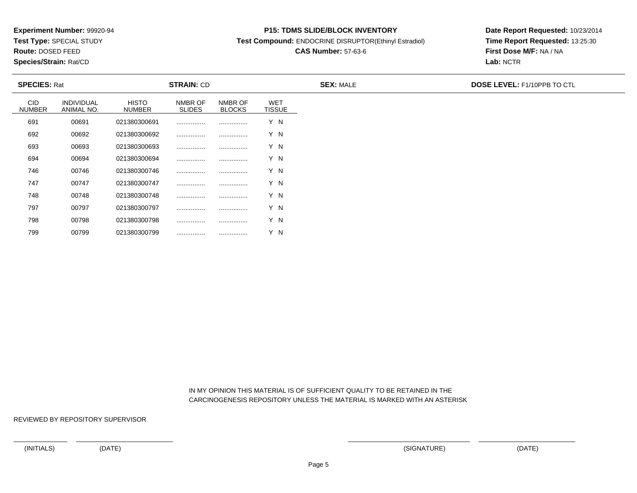**Test Type:** SPECIAL STUDY

**Route:** DOSED FEED

799

**Species/Strain:** Rat/CD

#### **P15: TDMS SLIDE/BLOCK INVENTORY**

**Test Compound:** ENDOCRINE DISRUPTOR(Ethinyl Estradiol)

# **CAS Number:** 57-63-6

**Date Report Requested:** 10/23/2014**Time Report Requested:** 13:25:30**First Dose M/F:** NA / NA**Lab:** NCTR

| <b>SPECIES: Rat</b>         |                                 |                               | <b>STRAIN: CD</b>        |                          |                             | <b>SEX: MALE</b> | DOSE LEVEL: F1/10PPB TO CTL |
|-----------------------------|---------------------------------|-------------------------------|--------------------------|--------------------------|-----------------------------|------------------|-----------------------------|
| <b>CID</b><br><b>NUMBER</b> | <b>INDIVIDUAL</b><br>ANIMAL NO. | <b>HISTO</b><br><b>NUMBER</b> | NMBR OF<br><b>SLIDES</b> | NMBR OF<br><b>BLOCKS</b> | <b>WET</b><br><b>TISSUE</b> |                  |                             |
| 691                         | 00691                           | 021380300691                  |                          |                          | Y N                         |                  |                             |
| 692                         | 00692                           | 021380300692                  |                          |                          | Y N                         |                  |                             |
| 693                         | 00693                           | 021380300693                  |                          |                          | Y N                         |                  |                             |
| 694                         | 00694                           | 021380300694                  |                          |                          | Y N                         |                  |                             |
| 746                         | 00746                           | 021380300746                  | .                        |                          | Y N                         |                  |                             |
| 747                         | 00747                           | 021380300747                  |                          |                          | Y N                         |                  |                             |
| 748                         | 00748                           | 021380300748                  |                          |                          | Y N                         |                  |                             |
| 797                         | 00797                           | 021380300797                  |                          |                          | Y N                         |                  |                             |
| 798                         | 00798                           | 021380300798                  |                          |                          | Y N                         |                  |                             |

 IN MY OPINION THIS MATERIAL IS OF SUFFICIENT QUALITY TO BE RETAINED IN THECARCINOGENESIS REPOSITORY UNLESS THE MATERIAL IS MARKED WITH AN ASTERISK

REVIEWED BY REPOSITORY SUPERVISOR

<sup>00799</sup> <sup>021380300799</sup> ................ ................ Y N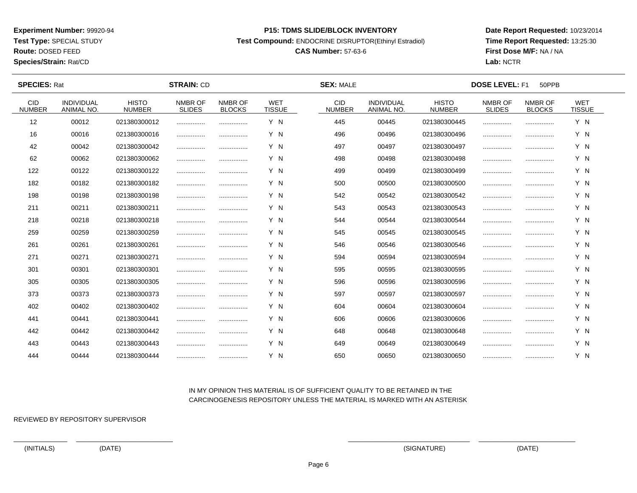**Test Type:** SPECIAL STUDY

**Route:** DOSED FEED

**Species/Strain:** Rat/CD

#### **P15: TDMS SLIDE/BLOCK INVENTORY**

**Test Compound:** ENDOCRINE DISRUPTOR(Ethinyl Estradiol)

# **CAS Number:** 57-63-6

**Date Report Requested:** 10/23/2014**Time Report Requested:** 13:25:30**First Dose M/F:** NA / NA**Lab:** NCTR

| <b>SPECIES: Rat</b>   |                          |                               | <b>STRAIN: CD</b>        |                          |                             |                             | <b>SEX: MALE</b>                |                               |                          | <b>DOSE LEVEL: F1</b><br>50PPB |                             |  |  |  |  |
|-----------------------|--------------------------|-------------------------------|--------------------------|--------------------------|-----------------------------|-----------------------------|---------------------------------|-------------------------------|--------------------------|--------------------------------|-----------------------------|--|--|--|--|
| CID.<br><b>NUMBER</b> | INDIVIDUAL<br>ANIMAL NO. | <b>HISTO</b><br><b>NUMBER</b> | NMBR OF<br><b>SLIDES</b> | NMBR OF<br><b>BLOCKS</b> | <b>WET</b><br><b>TISSUE</b> | <b>CID</b><br><b>NUMBER</b> | <b>INDIVIDUAL</b><br>ANIMAL NO. | <b>HISTO</b><br><b>NUMBER</b> | NMBR OF<br><b>SLIDES</b> | NMBR OF<br><b>BLOCKS</b>       | <b>WET</b><br><b>TISSUE</b> |  |  |  |  |
| 12                    | 00012                    | 021380300012                  |                          |                          | Y N                         | 445                         | 00445                           | 021380300445                  |                          |                                | Y N                         |  |  |  |  |
| 16                    | 00016                    | 021380300016                  |                          | .                        | Y N                         | 496                         | 00496                           | 021380300496                  |                          |                                | Y N                         |  |  |  |  |
| 42                    | 00042                    | 021380300042                  |                          |                          | Y N                         | 497                         | 00497                           | 021380300497                  |                          |                                | Y N                         |  |  |  |  |
| 62                    | 00062                    | 021380300062                  |                          |                          | Y N                         | 498                         | 00498                           | 021380300498                  |                          |                                | Y N                         |  |  |  |  |
| 122                   | 00122                    | 021380300122                  |                          |                          | Y N                         | 499                         | 00499                           | 021380300499                  |                          |                                | Y N                         |  |  |  |  |
| 182                   | 00182                    | 021380300182                  |                          |                          | Y N                         | 500                         | 00500                           | 021380300500                  |                          |                                | Y N                         |  |  |  |  |
| 198                   | 00198                    | 021380300198                  | .                        |                          | Y N                         | 542                         | 00542                           | 021380300542                  |                          |                                | Y N                         |  |  |  |  |
| 211                   | 00211                    | 021380300211                  |                          |                          | Y N                         | 543                         | 00543                           | 021380300543                  |                          |                                | Y N                         |  |  |  |  |
| 218                   | 00218                    | 021380300218                  |                          |                          | Y N                         | 544                         | 00544                           | 021380300544                  |                          |                                | Y N                         |  |  |  |  |
| 259                   | 00259                    | 021380300259                  |                          |                          | Y N                         | 545                         | 00545                           | 021380300545                  |                          |                                | Y N                         |  |  |  |  |
| 261                   | 00261                    | 021380300261                  |                          | .                        | Y N                         | 546                         | 00546                           | 021380300546                  |                          |                                | Y N                         |  |  |  |  |
| 271                   | 00271                    | 021380300271                  |                          |                          | Y N                         | 594                         | 00594                           | 021380300594                  |                          |                                | Y N                         |  |  |  |  |
| 301                   | 00301                    | 021380300301                  | .                        |                          | Y N                         | 595                         | 00595                           | 021380300595                  |                          |                                | Y N                         |  |  |  |  |
| 305                   | 00305                    | 021380300305                  |                          |                          | Y N                         | 596                         | 00596                           | 021380300596                  |                          |                                | Y N                         |  |  |  |  |
| 373                   | 00373                    | 021380300373                  |                          |                          | Y N                         | 597                         | 00597                           | 021380300597                  |                          |                                | Y N                         |  |  |  |  |
| 402                   | 00402                    | 021380300402                  |                          |                          | Y N                         | 604                         | 00604                           | 021380300604                  |                          |                                | Y N                         |  |  |  |  |
| 441                   | 00441                    | 021380300441                  |                          |                          | Y N                         | 606                         | 00606                           | 021380300606                  |                          |                                | Y N                         |  |  |  |  |
| 442                   | 00442                    | 021380300442                  |                          |                          | Y N                         | 648                         | 00648                           | 021380300648                  |                          |                                | Y N                         |  |  |  |  |
| 443                   | 00443                    | 021380300443                  |                          |                          | Y N                         | 649                         | 00649                           | 021380300649                  |                          |                                | Y N                         |  |  |  |  |
| 444                   | 00444                    | 021380300444                  |                          |                          | Y N                         | 650                         | 00650                           | 021380300650                  |                          |                                | Y N                         |  |  |  |  |

## IN MY OPINION THIS MATERIAL IS OF SUFFICIENT QUALITY TO BE RETAINED IN THECARCINOGENESIS REPOSITORY UNLESS THE MATERIAL IS MARKED WITH AN ASTERISK

REVIEWED BY REPOSITORY SUPERVISOR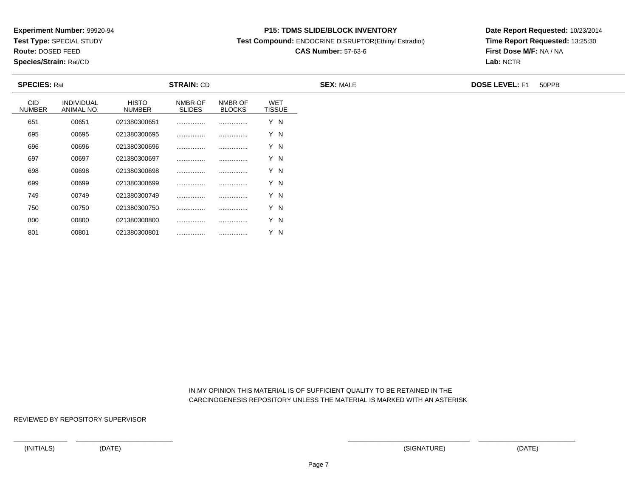**Test Type:** SPECIAL STUDY

**Route:** DOSED FEED

801

**Species/Strain:** Rat/CD

#### **P15: TDMS SLIDE/BLOCK INVENTORY**

**Test Compound:** ENDOCRINE DISRUPTOR(Ethinyl Estradiol)

# **CAS Number:** 57-63-6

**Date Report Requested:** 10/23/2014**Time Report Requested:** 13:25:30**First Dose M/F:** NA / NA**Lab:** NCTR

| <b>STRAIN: CD</b><br><b>SPECIES: Rat</b> |                                 |                        |                          |                          | <b>SEX: MALE</b>            | <b>DOSE LEVEL: F1</b> | 50PPB |  |
|------------------------------------------|---------------------------------|------------------------|--------------------------|--------------------------|-----------------------------|-----------------------|-------|--|
| <b>CID</b><br><b>NUMBER</b>              | <b>INDIVIDUAL</b><br>ANIMAL NO. | <b>HISTO</b><br>NUMBER | NMBR OF<br><b>SLIDES</b> | NMBR OF<br><b>BLOCKS</b> | <b>WET</b><br><b>TISSUE</b> |                       |       |  |
| 651                                      | 00651                           | 021380300651           |                          |                          | Y N                         |                       |       |  |
| 695                                      | 00695                           | 021380300695           |                          |                          | Y N                         |                       |       |  |
| 696                                      | 00696                           | 021380300696           | .                        |                          | Y N                         |                       |       |  |
| 697                                      | 00697                           | 021380300697           |                          |                          | Y N                         |                       |       |  |
| 698                                      | 00698                           | 021380300698           |                          |                          | Y N                         |                       |       |  |
| 699                                      | 00699                           | 021380300699           |                          |                          | Y N                         |                       |       |  |
| 749                                      | 00749                           | 021380300749           |                          |                          | Y N                         |                       |       |  |
| 750                                      | 00750                           | 021380300750           |                          |                          | Y N                         |                       |       |  |
| 800                                      | 00800                           | 021380300800           |                          |                          | Y N                         |                       |       |  |

 IN MY OPINION THIS MATERIAL IS OF SUFFICIENT QUALITY TO BE RETAINED IN THECARCINOGENESIS REPOSITORY UNLESS THE MATERIAL IS MARKED WITH AN ASTERISK

REVIEWED BY REPOSITORY SUPERVISOR

<sup>00801</sup> <sup>021380300801</sup> ................ ................ Y N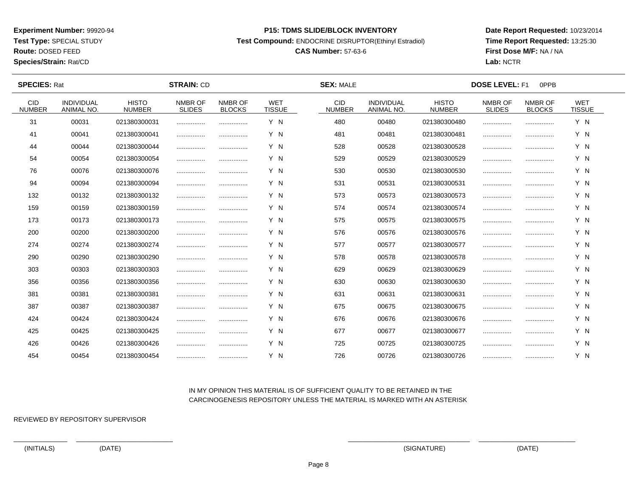**Test Type:** SPECIAL STUDY

**Route:** DOSED FEED

**Species/Strain:** Rat/CD

#### **P15: TDMS SLIDE/BLOCK INVENTORY**

**Test Compound:** ENDOCRINE DISRUPTOR(Ethinyl Estradiol)

# **CAS Number:** 57-63-6

**Date Report Requested:** 10/23/2014**Time Report Requested:** 13:25:30**First Dose M/F:** NA / NA**Lab:** NCTR

| <b>SPECIES: Rat</b>   |                          |                               | <b>STRAIN: CD</b>        |                          |                             | <b>SEX: MALE</b>      |                                 | <b>DOSE LEVEL: F1</b><br>0PPB |                          |                          |                             |  |
|-----------------------|--------------------------|-------------------------------|--------------------------|--------------------------|-----------------------------|-----------------------|---------------------------------|-------------------------------|--------------------------|--------------------------|-----------------------------|--|
| CID.<br><b>NUMBER</b> | INDIVIDUAL<br>ANIMAL NO. | <b>HISTO</b><br><b>NUMBER</b> | NMBR OF<br><b>SLIDES</b> | NMBR OF<br><b>BLOCKS</b> | <b>WET</b><br><b>TISSUE</b> | CID.<br><b>NUMBER</b> | <b>INDIVIDUAL</b><br>ANIMAL NO. | <b>HISTO</b><br><b>NUMBER</b> | NMBR OF<br><b>SLIDES</b> | NMBR OF<br><b>BLOCKS</b> | <b>WET</b><br><b>TISSUE</b> |  |
| 31                    | 00031                    | 021380300031                  |                          |                          | Y N                         | 480                   | 00480                           | 021380300480                  |                          |                          | Y N                         |  |
| 41                    | 00041                    | 021380300041                  |                          |                          | Y N                         | 481                   | 00481                           | 021380300481                  |                          |                          | Y N                         |  |
| 44                    | 00044                    | 021380300044                  |                          |                          | Y N                         | 528                   | 00528                           | 021380300528                  |                          |                          | Y N                         |  |
| 54                    | 00054                    | 021380300054                  |                          |                          | Y N                         | 529                   | 00529                           | 021380300529                  |                          |                          | Y N                         |  |
| 76                    | 00076                    | 021380300076                  |                          |                          | Y N                         | 530                   | 00530                           | 021380300530                  |                          |                          | Y N                         |  |
| 94                    | 00094                    | 021380300094                  |                          |                          | Y N                         | 531                   | 00531                           | 021380300531                  |                          |                          | Y N                         |  |
| 132                   | 00132                    | 021380300132                  |                          |                          | Y N                         | 573                   | 00573                           | 021380300573                  |                          |                          | Y N                         |  |
| 159                   | 00159                    | 021380300159                  |                          |                          | Y N                         | 574                   | 00574                           | 021380300574                  |                          |                          | Y N                         |  |
| 173                   | 00173                    | 021380300173                  |                          |                          | Y N                         | 575                   | 00575                           | 021380300575                  |                          |                          | Y N                         |  |
| 200                   | 00200                    | 021380300200                  |                          |                          | Y N                         | 576                   | 00576                           | 021380300576                  |                          |                          | Y N                         |  |
| 274                   | 00274                    | 021380300274                  |                          |                          | Y N                         | 577                   | 00577                           | 021380300577                  |                          |                          | Y N                         |  |
| 290                   | 00290                    | 021380300290                  |                          |                          | Y N                         | 578                   | 00578                           | 021380300578                  |                          |                          | Y N                         |  |
| 303                   | 00303                    | 021380300303                  |                          |                          | Y N                         | 629                   | 00629                           | 021380300629                  |                          |                          | Y N                         |  |
| 356                   | 00356                    | 021380300356                  |                          | .                        | Y N                         | 630                   | 00630                           | 021380300630                  |                          |                          | Y N                         |  |
| 381                   | 00381                    | 021380300381                  |                          |                          | Y N                         | 631                   | 00631                           | 021380300631                  |                          |                          | Y N                         |  |
| 387                   | 00387                    | 021380300387                  |                          |                          | Y N                         | 675                   | 00675                           | 021380300675                  |                          |                          | Y N                         |  |
| 424                   | 00424                    | 021380300424                  | .                        |                          | Y N                         | 676                   | 00676                           | 021380300676                  |                          |                          | Y N                         |  |
| 425                   | 00425                    | 021380300425                  |                          |                          | Y N                         | 677                   | 00677                           | 021380300677                  |                          |                          | Y N                         |  |
| 426                   | 00426                    | 021380300426                  |                          |                          | Y N                         | 725                   | 00725                           | 021380300725                  |                          |                          | Y N                         |  |
| 454                   | 00454                    | 021380300454                  |                          |                          | Y N                         | 726                   | 00726                           | 021380300726                  |                          |                          | Y N                         |  |

## IN MY OPINION THIS MATERIAL IS OF SUFFICIENT QUALITY TO BE RETAINED IN THECARCINOGENESIS REPOSITORY UNLESS THE MATERIAL IS MARKED WITH AN ASTERISK

REVIEWED BY REPOSITORY SUPERVISOR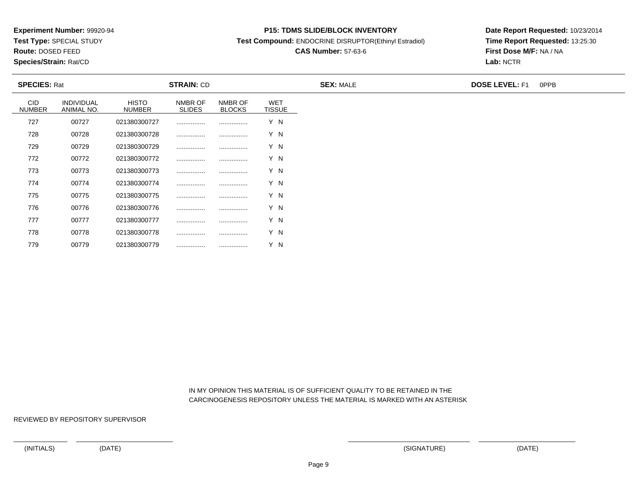**Test Type:** SPECIAL STUDY

**Route:** DOSED FEED

**Species/Strain:** Rat/CD

#### **P15: TDMS SLIDE/BLOCK INVENTORY**

**Test Compound:** ENDOCRINE DISRUPTOR(Ethinyl Estradiol)

# **CAS Number:** 57-63-6

**Date Report Requested:** 10/23/2014**Time Report Requested:** 13:25:30**First Dose M/F:** NA / NA**Lab:** NCTR

| <b>SPECIES: Rat</b>         |                          | <b>STRAIN: CD</b>             |                          |                          | <b>SEX: MALE</b>            | <b>DOSE LEVEL: F1</b><br>0PPB |  |
|-----------------------------|--------------------------|-------------------------------|--------------------------|--------------------------|-----------------------------|-------------------------------|--|
| <b>CID</b><br><b>NUMBER</b> | INDIVIDUAL<br>ANIMAL NO. | <b>HISTO</b><br><b>NUMBER</b> | NMBR OF<br><b>SLIDES</b> | NMBR OF<br><b>BLOCKS</b> | <b>WET</b><br><b>TISSUE</b> |                               |  |
| 727                         | 00727                    | 021380300727                  |                          |                          | Y N                         |                               |  |
| 728                         | 00728                    | 021380300728                  |                          |                          | Y N                         |                               |  |
| 729                         | 00729                    | 021380300729                  |                          |                          | Y N                         |                               |  |
| 772                         | 00772                    | 021380300772                  |                          |                          | Y N                         |                               |  |
| 773                         | 00773                    | 021380300773                  |                          |                          | Y N                         |                               |  |
| 774                         | 00774                    | 021380300774                  |                          |                          | Y N                         |                               |  |
| 775                         | 00775                    | 021380300775                  |                          |                          | Y N                         |                               |  |
| 776                         | 00776                    | 021380300776                  |                          |                          | Y N                         |                               |  |
| 777                         | 00777                    | 021380300777                  |                          |                          | Y N                         |                               |  |
| 778                         | 00778                    | 021380300778                  |                          |                          | Y N                         |                               |  |
| 779                         | 00779                    | 021380300779                  | .                        |                          | Y N                         |                               |  |

 IN MY OPINION THIS MATERIAL IS OF SUFFICIENT QUALITY TO BE RETAINED IN THECARCINOGENESIS REPOSITORY UNLESS THE MATERIAL IS MARKED WITH AN ASTERISK

REVIEWED BY REPOSITORY SUPERVISOR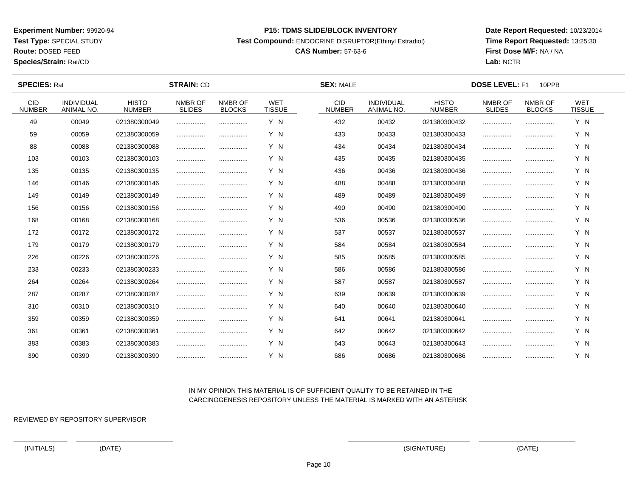**Test Type:** SPECIAL STUDY

**Route:** DOSED FEED

**Species/Strain:** Rat/CD

#### **P15: TDMS SLIDE/BLOCK INVENTORY**

**Test Compound:** ENDOCRINE DISRUPTOR(Ethinyl Estradiol)

# **CAS Number:** 57-63-6

**Date Report Requested:** 10/23/2014**Time Report Requested:** 13:25:30**First Dose M/F:** NA / NA**Lab:** NCTR

 $\overline{\phantom{a}}$ 

| <b>SPECIES: Rat</b>         |                                 |                               | <b>STRAIN: CD</b>        |                          |                             | <b>SEX: MALE</b>            |                                 |                               |                          | <b>DOSE LEVEL: F1</b><br>10PPB |                             |  |  |  |  |
|-----------------------------|---------------------------------|-------------------------------|--------------------------|--------------------------|-----------------------------|-----------------------------|---------------------------------|-------------------------------|--------------------------|--------------------------------|-----------------------------|--|--|--|--|
| <b>CID</b><br><b>NUMBER</b> | <b>INDIVIDUAL</b><br>ANIMAL NO. | <b>HISTO</b><br><b>NUMBER</b> | NMBR OF<br><b>SLIDES</b> | NMBR OF<br><b>BLOCKS</b> | <b>WET</b><br><b>TISSUE</b> | <b>CID</b><br><b>NUMBER</b> | <b>INDIVIDUAL</b><br>ANIMAL NO. | <b>HISTO</b><br><b>NUMBER</b> | NMBR OF<br><b>SLIDES</b> | NMBR OF<br><b>BLOCKS</b>       | <b>WET</b><br><b>TISSUE</b> |  |  |  |  |
| 49                          | 00049                           | 021380300049                  |                          |                          | Y N                         | 432                         | 00432                           | 021380300432                  |                          |                                | Y N                         |  |  |  |  |
| 59                          | 00059                           | 021380300059                  | .                        |                          | Y N                         | 433                         | 00433                           | 021380300433                  |                          |                                | Y N                         |  |  |  |  |
| 88                          | 00088                           | 021380300088                  |                          |                          | Y N                         | 434                         | 00434                           | 021380300434                  |                          |                                | Y N                         |  |  |  |  |
| 103                         | 00103                           | 021380300103                  |                          |                          | Y N                         | 435                         | 00435                           | 021380300435                  |                          |                                | Y N                         |  |  |  |  |
| 135                         | 00135                           | 021380300135                  |                          |                          | Y N                         | 436                         | 00436                           | 021380300436                  | .                        |                                | Y N                         |  |  |  |  |
| 146                         | 00146                           | 021380300146                  |                          | .                        | Y N                         | 488                         | 00488                           | 021380300488                  |                          |                                | Y N                         |  |  |  |  |
| 149                         | 00149                           | 021380300149                  |                          |                          | Y N                         | 489                         | 00489                           | 021380300489                  |                          |                                | Y N                         |  |  |  |  |
| 156                         | 00156                           | 021380300156                  |                          | .                        | Y N                         | 490                         | 00490                           | 021380300490                  |                          |                                | Y N                         |  |  |  |  |
| 168                         | 00168                           | 021380300168                  |                          |                          | Y N                         | 536                         | 00536                           | 021380300536                  |                          |                                | Y N                         |  |  |  |  |
| 172                         | 00172                           | 021380300172                  |                          |                          | Y N                         | 537                         | 00537                           | 021380300537                  |                          |                                | Y N                         |  |  |  |  |
| 179                         | 00179                           | 021380300179                  | .                        |                          | Y N                         | 584                         | 00584                           | 021380300584                  |                          |                                | Y N                         |  |  |  |  |
| 226                         | 00226                           | 021380300226                  |                          |                          | Y N                         | 585                         | 00585                           | 021380300585                  |                          |                                | Y N                         |  |  |  |  |
| 233                         | 00233                           | 021380300233                  |                          |                          | Y N                         | 586                         | 00586                           | 021380300586                  |                          |                                | Y N                         |  |  |  |  |
| 264                         | 00264                           | 021380300264                  |                          |                          | Y N                         | 587                         | 00587                           | 021380300587                  |                          |                                | Y N                         |  |  |  |  |
| 287                         | 00287                           | 021380300287                  |                          |                          | Y N                         | 639                         | 00639                           | 021380300639                  |                          |                                | Y N                         |  |  |  |  |
| 310                         | 00310                           | 021380300310                  |                          |                          | Y N                         | 640                         | 00640                           | 021380300640                  |                          |                                | Y N                         |  |  |  |  |
| 359                         | 00359                           | 021380300359                  | .                        | .                        | Y N                         | 641                         | 00641                           | 021380300641                  |                          |                                | Y N                         |  |  |  |  |
| 361                         | 00361                           | 021380300361                  |                          |                          | Y N                         | 642                         | 00642                           | 021380300642                  |                          |                                | Y N                         |  |  |  |  |
| 383                         | 00383                           | 021380300383                  |                          | .                        | Y N                         | 643                         | 00643                           | 021380300643                  |                          |                                | Y N                         |  |  |  |  |
| 390                         | 00390                           | 021380300390                  |                          |                          | Y N                         | 686                         | 00686                           | 021380300686                  |                          |                                | Y N                         |  |  |  |  |

## IN MY OPINION THIS MATERIAL IS OF SUFFICIENT QUALITY TO BE RETAINED IN THECARCINOGENESIS REPOSITORY UNLESS THE MATERIAL IS MARKED WITH AN ASTERISK

REVIEWED BY REPOSITORY SUPERVISOR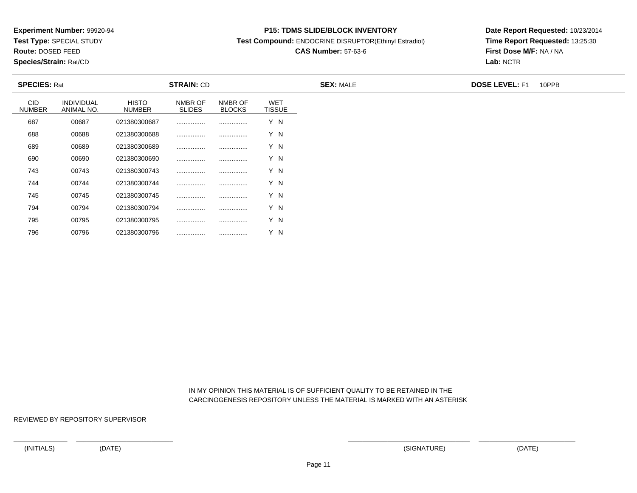**Test Type:** SPECIAL STUDY

**Route:** DOSED FEED

796

**Species/Strain:** Rat/CD

#### **P15: TDMS SLIDE/BLOCK INVENTORY**

**Test Compound:** ENDOCRINE DISRUPTOR(Ethinyl Estradiol)

# **CAS Number:** 57-63-6

**Date Report Requested:** 10/23/2014**Time Report Requested:** 13:25:30**First Dose M/F:** NA / NA**Lab:** NCTR

| <b>SPECIES: Rat</b>         |                                 |                               | <b>STRAIN: CD</b>        |                          |                             | <b>SEX: MALE</b> | <b>DOSE LEVEL: F1</b> | 10PPB |
|-----------------------------|---------------------------------|-------------------------------|--------------------------|--------------------------|-----------------------------|------------------|-----------------------|-------|
| <b>CID</b><br><b>NUMBER</b> | <b>INDIVIDUAL</b><br>ANIMAL NO. | <b>HISTO</b><br><b>NUMBER</b> | NMBR OF<br><b>SLIDES</b> | NMBR OF<br><b>BLOCKS</b> | <b>WET</b><br><b>TISSUE</b> |                  |                       |       |
| 687                         | 00687                           | 021380300687                  |                          |                          | Y N                         |                  |                       |       |
| 688                         | 00688                           | 021380300688                  |                          |                          | Y N                         |                  |                       |       |
| 689                         | 00689                           | 021380300689                  |                          |                          | Y N                         |                  |                       |       |
| 690                         | 00690                           | 021380300690                  |                          |                          | Y N                         |                  |                       |       |
| 743                         | 00743                           | 021380300743                  |                          |                          | Y N                         |                  |                       |       |
| 744                         | 00744                           | 021380300744                  |                          |                          | Y N                         |                  |                       |       |
| 745                         | 00745                           | 021380300745                  |                          |                          | Y N                         |                  |                       |       |
| 794                         | 00794                           | 021380300794                  |                          |                          | Y N                         |                  |                       |       |
| 795                         | 00795                           | 021380300795                  |                          |                          | Y N                         |                  |                       |       |

 IN MY OPINION THIS MATERIAL IS OF SUFFICIENT QUALITY TO BE RETAINED IN THECARCINOGENESIS REPOSITORY UNLESS THE MATERIAL IS MARKED WITH AN ASTERISK

REVIEWED BY REPOSITORY SUPERVISOR

<sup>00796</sup> <sup>021380300796</sup> ................ ................ Y N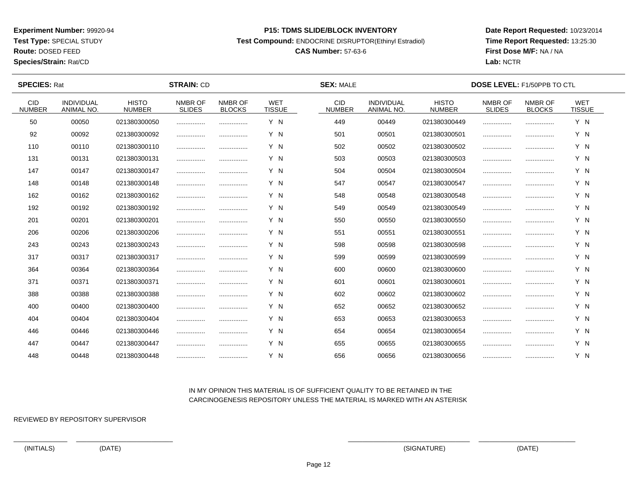**Test Type:** SPECIAL STUDY

**Route:** DOSED FEED

**Species/Strain:** Rat/CD

#### **P15: TDMS SLIDE/BLOCK INVENTORY**

**Test Compound:** ENDOCRINE DISRUPTOR(Ethinyl Estradiol)

# **CAS Number:** 57-63-6

**Date Report Requested:** 10/23/2014**Time Report Requested:** 13:25:30**First Dose M/F:** NA / NA**Lab:** NCTR

| <b>SPECIES: Rat</b>         |                                        |                               | <b>STRAIN: CD</b>        |                          |                             | <b>SEX: MALE</b>      |                                        |                               | <b>DOSE LEVEL: F1/50PPB TO CTL</b> |                          |                             |  |
|-----------------------------|----------------------------------------|-------------------------------|--------------------------|--------------------------|-----------------------------|-----------------------|----------------------------------------|-------------------------------|------------------------------------|--------------------------|-----------------------------|--|
| <b>CID</b><br><b>NUMBER</b> | <b>INDIVIDUAL</b><br><b>ANIMAL NO.</b> | <b>HISTO</b><br><b>NUMBER</b> | NMBR OF<br><b>SLIDES</b> | NMBR OF<br><b>BLOCKS</b> | <b>WET</b><br><b>TISSUE</b> | CID.<br><b>NUMBER</b> | <b>INDIVIDUAL</b><br><b>ANIMAL NO.</b> | <b>HISTO</b><br><b>NUMBER</b> | NMBR OF<br><b>SLIDES</b>           | NMBR OF<br><b>BLOCKS</b> | <b>WET</b><br><b>TISSUE</b> |  |
| 50                          | 00050                                  | 021380300050                  |                          |                          | Y N                         | 449                   | 00449                                  | 021380300449                  |                                    |                          | Y N                         |  |
| 92                          | 00092                                  | 021380300092                  |                          |                          | Y N                         | 501                   | 00501                                  | 021380300501                  |                                    |                          | Y N                         |  |
| 110                         | 00110                                  | 021380300110                  |                          |                          | Y N                         | 502                   | 00502                                  | 021380300502                  |                                    |                          | Y N                         |  |
| 131                         | 00131                                  | 021380300131                  |                          |                          | Y N                         | 503                   | 00503                                  | 021380300503                  |                                    |                          | Y N                         |  |
| 147                         | 00147                                  | 021380300147                  |                          |                          | Y N                         | 504                   | 00504                                  | 021380300504                  |                                    |                          | Y N                         |  |
| 148                         | 00148                                  | 021380300148                  |                          |                          | Y N                         | 547                   | 00547                                  | 021380300547                  |                                    |                          | Y N                         |  |
| 162                         | 00162                                  | 021380300162                  |                          |                          | Y N                         | 548                   | 00548                                  | 021380300548                  |                                    |                          | Y N                         |  |
| 192                         | 00192                                  | 021380300192                  |                          |                          | Y N                         | 549                   | 00549                                  | 021380300549                  |                                    |                          | Y N                         |  |
| 201                         | 00201                                  | 021380300201                  |                          |                          | Y N                         | 550                   | 00550                                  | 021380300550                  |                                    |                          | Y N                         |  |
| 206                         | 00206                                  | 021380300206                  |                          |                          | Y N                         | 551                   | 00551                                  | 021380300551                  |                                    |                          | Y N                         |  |
| 243                         | 00243                                  | 021380300243                  |                          |                          | Y N                         | 598                   | 00598                                  | 021380300598                  |                                    |                          | Y N                         |  |
| 317                         | 00317                                  | 021380300317                  |                          |                          | Y N                         | 599                   | 00599                                  | 021380300599                  |                                    |                          | Y N                         |  |
| 364                         | 00364                                  | 021380300364                  |                          |                          | Y N                         | 600                   | 00600                                  | 021380300600                  |                                    |                          | Y N                         |  |
| 371                         | 00371                                  | 021380300371                  |                          |                          | Y N                         | 601                   | 00601                                  | 021380300601                  |                                    |                          | Y N                         |  |
| 388                         | 00388                                  | 021380300388                  |                          |                          | Y N                         | 602                   | 00602                                  | 021380300602                  |                                    |                          | Y N                         |  |
| 400                         | 00400                                  | 021380300400                  |                          |                          | Y N                         | 652                   | 00652                                  | 021380300652                  |                                    |                          | Y N                         |  |
| 404                         | 00404                                  | 021380300404                  |                          |                          | Y N                         | 653                   | 00653                                  | 021380300653                  |                                    |                          | Y N                         |  |
| 446                         | 00446                                  | 021380300446                  |                          |                          | Y N                         | 654                   | 00654                                  | 021380300654                  |                                    |                          | Y N                         |  |
| 447                         | 00447                                  | 021380300447                  |                          |                          | Y N                         | 655                   | 00655                                  | 021380300655                  |                                    |                          | Y N                         |  |
| 448                         | 00448                                  | 021380300448                  |                          |                          | Y N                         | 656                   | 00656                                  | 021380300656                  |                                    |                          | Y N                         |  |

## IN MY OPINION THIS MATERIAL IS OF SUFFICIENT QUALITY TO BE RETAINED IN THECARCINOGENESIS REPOSITORY UNLESS THE MATERIAL IS MARKED WITH AN ASTERISK

REVIEWED BY REPOSITORY SUPERVISOR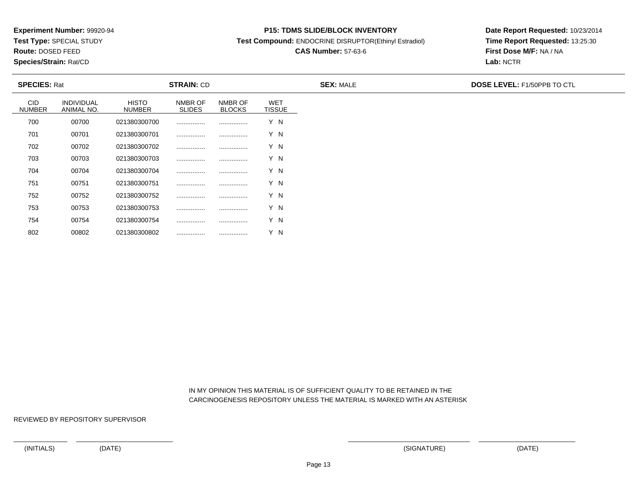**Test Type:** SPECIAL STUDY

**Route:** DOSED FEED

802

**Species/Strain:** Rat/CD

#### **P15: TDMS SLIDE/BLOCK INVENTORY**

**Test Compound:** ENDOCRINE DISRUPTOR(Ethinyl Estradiol)

# **CAS Number:** 57-63-6

**Date Report Requested:** 10/23/2014**Time Report Requested:** 13:25:30**First Dose M/F:** NA / NA**Lab:** NCTR

| <b>SPECIES: Rat</b>         |                          |                               | <b>STRAIN: CD</b>        |                          |                             | <b>SEX: MALE</b> | <b>DOSE LEVEL: F1/50PPB TO CTL</b> |
|-----------------------------|--------------------------|-------------------------------|--------------------------|--------------------------|-----------------------------|------------------|------------------------------------|
| <b>CID</b><br><b>NUMBER</b> | INDIVIDUAL<br>ANIMAL NO. | <b>HISTO</b><br><b>NUMBER</b> | NMBR OF<br><b>SLIDES</b> | NMBR OF<br><b>BLOCKS</b> | <b>WET</b><br><b>TISSUE</b> |                  |                                    |
| 700                         | 00700                    | 021380300700                  |                          |                          | Y N                         |                  |                                    |
| 701                         | 00701                    | 021380300701                  |                          |                          | Y N                         |                  |                                    |
| 702                         | 00702                    | 021380300702                  |                          |                          | Y N                         |                  |                                    |
| 703                         | 00703                    | 021380300703                  |                          |                          | Y N                         |                  |                                    |
| 704                         | 00704                    | 021380300704                  |                          |                          | Y N                         |                  |                                    |
| 751                         | 00751                    | 021380300751                  |                          |                          | Y N                         |                  |                                    |
| 752                         | 00752                    | 021380300752                  |                          |                          | Y N                         |                  |                                    |
| 753                         | 00753                    | 021380300753                  |                          |                          | Y N                         |                  |                                    |
| 754                         | 00754                    | 021380300754                  |                          |                          | Y N                         |                  |                                    |

 IN MY OPINION THIS MATERIAL IS OF SUFFICIENT QUALITY TO BE RETAINED IN THECARCINOGENESIS REPOSITORY UNLESS THE MATERIAL IS MARKED WITH AN ASTERISK

REVIEWED BY REPOSITORY SUPERVISOR

<sup>00802</sup> <sup>021380300802</sup> ................ ................ Y N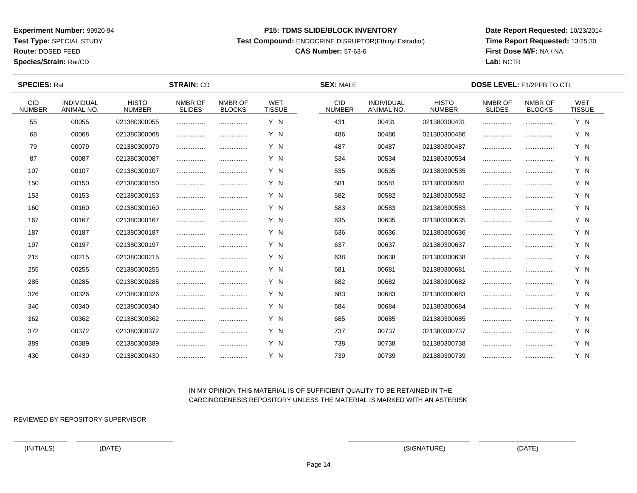**Test Type:** SPECIAL STUDY

**Route:** DOSED FEED

**Species/Strain:** Rat/CD

#### **P15: TDMS SLIDE/BLOCK INVENTORY**

**Test Compound:** ENDOCRINE DISRUPTOR(Ethinyl Estradiol)

# **CAS Number:** 57-63-6

**Date Report Requested:** 10/23/2014**Time Report Requested:** 13:25:30**First Dose M/F:** NA / NA**Lab:** NCTR

| <b>SPECIES: Rat</b>         |                                 |                               | <b>STRAIN: CD</b>        |                          |                             | <b>SEX: MALE</b>            |                                        |                               | <b>DOSE LEVEL: F1/2PPB TO CTL</b> |                          |                             |  |
|-----------------------------|---------------------------------|-------------------------------|--------------------------|--------------------------|-----------------------------|-----------------------------|----------------------------------------|-------------------------------|-----------------------------------|--------------------------|-----------------------------|--|
| <b>CID</b><br><b>NUMBER</b> | <b>INDIVIDUAL</b><br>ANIMAL NO. | <b>HISTO</b><br><b>NUMBER</b> | NMBR OF<br><b>SLIDES</b> | NMBR OF<br><b>BLOCKS</b> | <b>WET</b><br><b>TISSUE</b> | <b>CID</b><br><b>NUMBER</b> | <b>INDIVIDUAL</b><br><b>ANIMAL NO.</b> | <b>HISTO</b><br><b>NUMBER</b> | NMBR OF<br><b>SLIDES</b>          | NMBR OF<br><b>BLOCKS</b> | <b>WET</b><br><b>TISSUE</b> |  |
| 55                          | 00055                           | 021380300055                  |                          |                          | Y N                         | 431                         | 00431                                  | 021380300431                  |                                   |                          | Y N                         |  |
| 68                          | 00068                           | 021380300068                  |                          |                          | Y N                         | 486                         | 00486                                  | 021380300486                  |                                   |                          | Y N                         |  |
| 79                          | 00079                           | 021380300079                  |                          |                          | Y N                         | 487                         | 00487                                  | 021380300487                  |                                   |                          | Y N                         |  |
| 87                          | 00087                           | 021380300087                  |                          |                          | Y N                         | 534                         | 00534                                  | 021380300534                  |                                   |                          | Y N                         |  |
| 107                         | 00107                           | 021380300107                  |                          |                          | Y N                         | 535                         | 00535                                  | 021380300535                  |                                   |                          | Y N                         |  |
| 150                         | 00150                           | 021380300150                  |                          | .                        | Y N                         | 581                         | 00581                                  | 021380300581                  |                                   |                          | Y N                         |  |
| 153                         | 00153                           | 021380300153                  |                          |                          | Y N                         | 582                         | 00582                                  | 021380300582                  |                                   |                          | Y N                         |  |
| 160                         | 00160                           | 021380300160                  |                          |                          | Y N                         | 583                         | 00583                                  | 021380300583                  |                                   |                          | Y N                         |  |
| 167                         | 00167                           | 021380300167                  |                          |                          | Y N                         | 635                         | 00635                                  | 021380300635                  |                                   |                          | Y N                         |  |
| 187                         | 00187                           | 021380300187                  |                          |                          | Y N                         | 636                         | 00636                                  | 021380300636                  |                                   |                          | Y N                         |  |
| 197                         | 00197                           | 021380300197                  |                          |                          | Y N                         | 637                         | 00637                                  | 021380300637                  |                                   |                          | Y N                         |  |
| 215                         | 00215                           | 021380300215                  |                          |                          | Y N                         | 638                         | 00638                                  | 021380300638                  |                                   |                          | Y N                         |  |
| 255                         | 00255                           | 021380300255                  |                          |                          | Y N                         | 681                         | 00681                                  | 021380300681                  |                                   |                          | Y N                         |  |
| 285                         | 00285                           | 021380300285                  |                          |                          | Y N                         | 682                         | 00682                                  | 021380300682                  |                                   |                          | Y N                         |  |
| 326                         | 00326                           | 021380300326                  |                          |                          | Y N                         | 683                         | 00683                                  | 021380300683                  |                                   |                          | Y N                         |  |
| 340                         | 00340                           | 021380300340                  |                          |                          | Y N                         | 684                         | 00684                                  | 021380300684                  |                                   |                          | Y N                         |  |
| 362                         | 00362                           | 021380300362                  |                          |                          | Y N                         | 685                         | 00685                                  | 021380300685                  |                                   |                          | Y N                         |  |
| 372                         | 00372                           | 021380300372                  |                          |                          | Y N                         | 737                         | 00737                                  | 021380300737                  |                                   |                          | Y N                         |  |
| 389                         | 00389                           | 021380300389                  |                          |                          | Y N                         | 738                         | 00738                                  | 021380300738                  |                                   |                          | Y N                         |  |
| 430                         | 00430                           | 021380300430                  |                          |                          | Y N                         | 739                         | 00739                                  | 021380300739                  |                                   |                          | Y N                         |  |

## IN MY OPINION THIS MATERIAL IS OF SUFFICIENT QUALITY TO BE RETAINED IN THECARCINOGENESIS REPOSITORY UNLESS THE MATERIAL IS MARKED WITH AN ASTERISK

REVIEWED BY REPOSITORY SUPERVISOR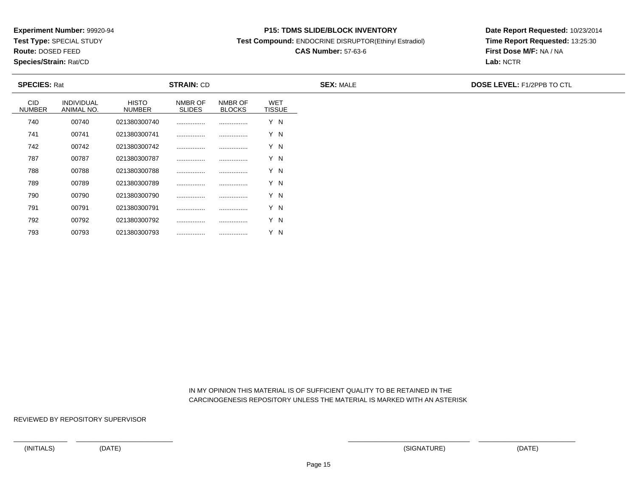**Test Type:** SPECIAL STUDY

**Route:** DOSED FEED

793

**Species/Strain:** Rat/CD

#### **P15: TDMS SLIDE/BLOCK INVENTORY**

**Test Compound:** ENDOCRINE DISRUPTOR(Ethinyl Estradiol)

# **CAS Number:** 57-63-6

**Date Report Requested:** 10/23/2014**Time Report Requested:** 13:25:30**First Dose M/F:** NA / NA**Lab:** NCTR

| <b>SPECIES: Rat</b>         |                                 |                               | <b>STRAIN: CD</b>        |                          |                             | <b>SEX: MALE</b> | <b>DOSE LEVEL: F1/2PPB TO CTL</b> |
|-----------------------------|---------------------------------|-------------------------------|--------------------------|--------------------------|-----------------------------|------------------|-----------------------------------|
| <b>CID</b><br><b>NUMBER</b> | <b>INDIVIDUAL</b><br>ANIMAL NO. | <b>HISTO</b><br><b>NUMBER</b> | NMBR OF<br><b>SLIDES</b> | NMBR OF<br><b>BLOCKS</b> | <b>WET</b><br><b>TISSUE</b> |                  |                                   |
| 740                         | 00740                           | 021380300740                  |                          |                          | Y N                         |                  |                                   |
| 741                         | 00741                           | 021380300741                  |                          |                          | Y N                         |                  |                                   |
| 742                         | 00742                           | 021380300742                  |                          |                          | Y N                         |                  |                                   |
| 787                         | 00787                           | 021380300787                  |                          |                          | Y N                         |                  |                                   |
| 788                         | 00788                           | 021380300788                  |                          |                          | Y N                         |                  |                                   |
| 789                         | 00789                           | 021380300789                  |                          |                          | Y N                         |                  |                                   |
| 790                         | 00790                           | 021380300790                  |                          |                          | Y N                         |                  |                                   |
| 791                         | 00791                           | 021380300791                  |                          |                          | Y N                         |                  |                                   |
| 792                         | 00792                           | 021380300792                  |                          |                          | Y N                         |                  |                                   |

 IN MY OPINION THIS MATERIAL IS OF SUFFICIENT QUALITY TO BE RETAINED IN THECARCINOGENESIS REPOSITORY UNLESS THE MATERIAL IS MARKED WITH AN ASTERISK

REVIEWED BY REPOSITORY SUPERVISOR

<sup>00793</sup> <sup>021380300793</sup> ................ ................ Y N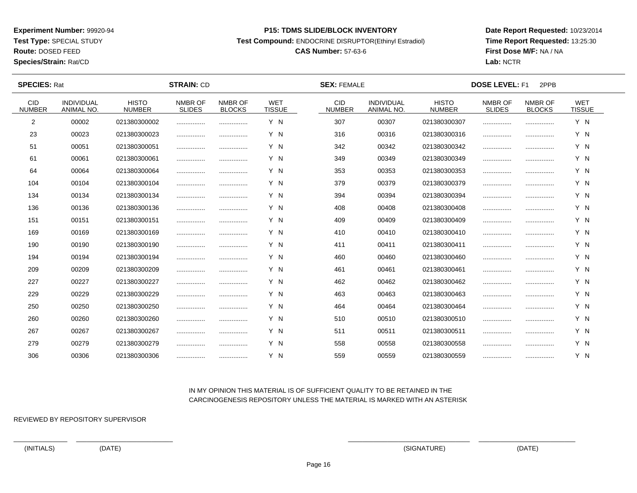**Test Type:** SPECIAL STUDY

**Route:** DOSED FEED

**Species/Strain:** Rat/CD

#### **P15: TDMS SLIDE/BLOCK INVENTORY**

**Test Compound:** ENDOCRINE DISRUPTOR(Ethinyl Estradiol)

# **CAS Number:** 57-63-6

**Date Report Requested:** 10/23/2014**Time Report Requested:** 13:25:30**First Dose M/F:** NA / NA**Lab:** NCTR

| <b>SPECIES: Rat</b>         |                                 |                               | <b>STRAIN: CD</b>        |                          |                             | <b>SEX: FEMALE</b>          |                                        |                               | <b>DOSE LEVEL: F1</b><br>2PPB |                          |                             |  |
|-----------------------------|---------------------------------|-------------------------------|--------------------------|--------------------------|-----------------------------|-----------------------------|----------------------------------------|-------------------------------|-------------------------------|--------------------------|-----------------------------|--|
| <b>CID</b><br><b>NUMBER</b> | <b>INDIVIDUAL</b><br>ANIMAL NO. | <b>HISTO</b><br><b>NUMBER</b> | NMBR OF<br><b>SLIDES</b> | NMBR OF<br><b>BLOCKS</b> | <b>WET</b><br><b>TISSUE</b> | <b>CID</b><br><b>NUMBER</b> | <b>INDIVIDUAL</b><br><b>ANIMAL NO.</b> | <b>HISTO</b><br><b>NUMBER</b> | NMBR OF<br><b>SLIDES</b>      | NMBR OF<br><b>BLOCKS</b> | <b>WET</b><br><b>TISSUE</b> |  |
| 2                           | 00002                           | 021380300002                  |                          |                          | Y N                         | 307                         | 00307                                  | 021380300307                  |                               |                          | Y N                         |  |
| 23                          | 00023                           | 021380300023                  |                          |                          | Y N                         | 316                         | 00316                                  | 021380300316                  |                               |                          | Y N                         |  |
| 51                          | 00051                           | 021380300051                  |                          |                          | Y N                         | 342                         | 00342                                  | 021380300342                  |                               |                          | Y N                         |  |
| 61                          | 00061                           | 021380300061                  |                          |                          | Y N                         | 349                         | 00349                                  | 021380300349                  |                               |                          | Y N                         |  |
| 64                          | 00064                           | 021380300064                  |                          |                          | Y N                         | 353                         | 00353                                  | 021380300353                  |                               |                          | Y N                         |  |
| 104                         | 00104                           | 021380300104                  |                          |                          | Y N                         | 379                         | 00379                                  | 021380300379                  |                               |                          | Y N                         |  |
| 134                         | 00134                           | 021380300134                  |                          |                          | Y N                         | 394                         | 00394                                  | 021380300394                  |                               |                          | Y N                         |  |
| 136                         | 00136                           | 021380300136                  |                          |                          | Y N                         | 408                         | 00408                                  | 021380300408                  |                               |                          | Y N                         |  |
| 151                         | 00151                           | 021380300151                  |                          |                          | Y N                         | 409                         | 00409                                  | 021380300409                  |                               |                          | Y N                         |  |
| 169                         | 00169                           | 021380300169                  |                          |                          | Y N                         | 410                         | 00410                                  | 021380300410                  |                               |                          | Y N                         |  |
| 190                         | 00190                           | 021380300190                  |                          |                          | Y N                         | 411                         | 00411                                  | 021380300411                  |                               |                          | Y N                         |  |
| 194                         | 00194                           | 021380300194                  |                          |                          | Y N                         | 460                         | 00460                                  | 021380300460                  |                               |                          | Y N                         |  |
| 209                         | 00209                           | 021380300209                  |                          |                          | Y N                         | 461                         | 00461                                  | 021380300461                  |                               |                          | Y N                         |  |
| 227                         | 00227                           | 021380300227                  |                          |                          | Y N                         | 462                         | 00462                                  | 021380300462                  |                               |                          | Y N                         |  |
| 229                         | 00229                           | 021380300229                  |                          |                          | Y N                         | 463                         | 00463                                  | 021380300463                  |                               |                          | Y N                         |  |
| 250                         | 00250                           | 021380300250                  |                          |                          | Y N                         | 464                         | 00464                                  | 021380300464                  |                               |                          | Y N                         |  |
| 260                         | 00260                           | 021380300260                  |                          | .                        | Y N                         | 510                         | 00510                                  | 021380300510                  |                               |                          | Y N                         |  |
| 267                         | 00267                           | 021380300267                  |                          |                          | Y N                         | 511                         | 00511                                  | 021380300511                  |                               |                          | Y N                         |  |
| 279                         | 00279                           | 021380300279                  |                          |                          | Y N                         | 558                         | 00558                                  | 021380300558                  |                               |                          | Y N                         |  |
| 306                         | 00306                           | 021380300306                  |                          |                          | Y N                         | 559                         | 00559                                  | 021380300559                  |                               |                          | Y N                         |  |

## IN MY OPINION THIS MATERIAL IS OF SUFFICIENT QUALITY TO BE RETAINED IN THECARCINOGENESIS REPOSITORY UNLESS THE MATERIAL IS MARKED WITH AN ASTERISK

REVIEWED BY REPOSITORY SUPERVISOR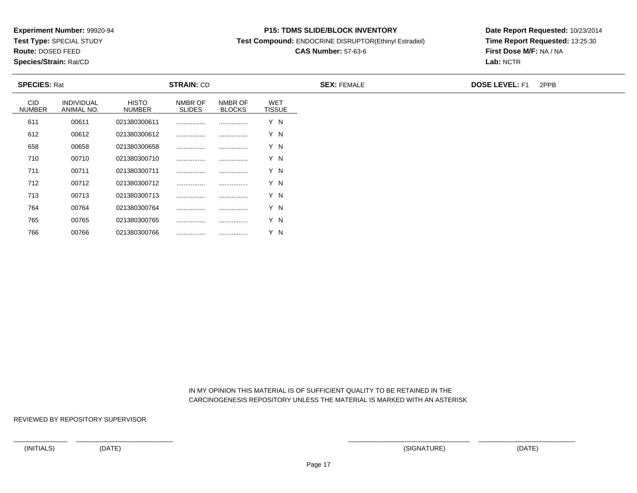**Test Type:** SPECIAL STUDY

**Route:** DOSED FEED

766

**Species/Strain:** Rat/CD

#### **P15: TDMS SLIDE/BLOCK INVENTORY**

**Test Compound:** ENDOCRINE DISRUPTOR(Ethinyl Estradiol)

# **CAS Number:** 57-63-6

**Date Report Requested:** 10/23/2014**Time Report Requested:** 13:25:30**First Dose M/F:** NA / NA**Lab:** NCTR

| <b>SPECIES: Rat</b>  |                                 |                               | <b>STRAIN: CD</b>        |                          |                             | <b>SEX: FEMALE</b> | <b>DOSE LEVEL: F1</b> | 2PPB |
|----------------------|---------------------------------|-------------------------------|--------------------------|--------------------------|-----------------------------|--------------------|-----------------------|------|
| CID<br><b>NUMBER</b> | <b>INDIVIDUAL</b><br>ANIMAL NO. | <b>HISTO</b><br><b>NUMBER</b> | NMBR OF<br><b>SLIDES</b> | NMBR OF<br><b>BLOCKS</b> | <b>WET</b><br><b>TISSUE</b> |                    |                       |      |
| 611                  | 00611                           | 021380300611                  |                          |                          | Y N                         |                    |                       |      |
| 612                  | 00612                           | 021380300612                  |                          |                          | Y N                         |                    |                       |      |
| 658                  | 00658                           | 021380300658                  | .                        |                          | Y N                         |                    |                       |      |
| 710                  | 00710                           | 021380300710                  |                          |                          | Y N                         |                    |                       |      |
| 711                  | 00711                           | 021380300711                  | .                        |                          | Y N                         |                    |                       |      |
| 712                  | 00712                           | 021380300712                  |                          |                          | Y N                         |                    |                       |      |
| 713                  | 00713                           | 021380300713                  |                          |                          | Y N                         |                    |                       |      |
| 764                  | 00764                           | 021380300764                  |                          |                          | Y N                         |                    |                       |      |
| 765                  | 00765                           | 021380300765                  |                          |                          | Y N                         |                    |                       |      |

 IN MY OPINION THIS MATERIAL IS OF SUFFICIENT QUALITY TO BE RETAINED IN THECARCINOGENESIS REPOSITORY UNLESS THE MATERIAL IS MARKED WITH AN ASTERISK

REVIEWED BY REPOSITORY SUPERVISOR

<sup>00766</sup> <sup>021380300766</sup> ................ ................ Y N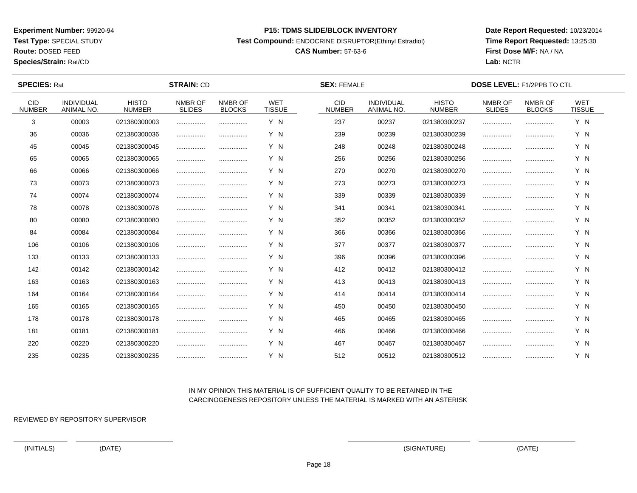**Test Type:** SPECIAL STUDY

**Route:** DOSED FEED

**Species/Strain:** Rat/CD

#### **P15: TDMS SLIDE/BLOCK INVENTORY**

**Test Compound:** ENDOCRINE DISRUPTOR(Ethinyl Estradiol)

# **CAS Number:** 57-63-6

**Date Report Requested:** 10/23/2014**Time Report Requested:** 13:25:30**First Dose M/F:** NA / NA**Lab:** NCTR

| <b>SPECIES: Rat</b>         |                                        |                               | <b>STRAIN: CD</b>        |                          |                             | <b>SEX: FEMALE</b>          |                                 |                               | <b>DOSE LEVEL: F1/2PPB TO CTL</b> |                          |                             |  |
|-----------------------------|----------------------------------------|-------------------------------|--------------------------|--------------------------|-----------------------------|-----------------------------|---------------------------------|-------------------------------|-----------------------------------|--------------------------|-----------------------------|--|
| <b>CID</b><br><b>NUMBER</b> | <b>INDIVIDUAL</b><br><b>ANIMAL NO.</b> | <b>HISTO</b><br><b>NUMBER</b> | NMBR OF<br><b>SLIDES</b> | NMBR OF<br><b>BLOCKS</b> | <b>WET</b><br><b>TISSUE</b> | <b>CID</b><br><b>NUMBER</b> | <b>INDIVIDUAL</b><br>ANIMAL NO. | <b>HISTO</b><br><b>NUMBER</b> | NMBR OF<br><b>SLIDES</b>          | NMBR OF<br><b>BLOCKS</b> | <b>WET</b><br><b>TISSUE</b> |  |
| 3                           | 00003                                  | 021380300003                  |                          |                          | Y N                         | 237                         | 00237                           | 021380300237                  |                                   |                          | Y N                         |  |
| 36                          | 00036                                  | 021380300036                  |                          |                          | Y N                         | 239                         | 00239                           | 021380300239                  |                                   |                          | Y N                         |  |
| 45                          | 00045                                  | 021380300045                  |                          |                          | Y N                         | 248                         | 00248                           | 021380300248                  |                                   |                          | Y N                         |  |
| 65                          | 00065                                  | 021380300065                  |                          |                          | Y N                         | 256                         | 00256                           | 021380300256                  |                                   |                          | Y N                         |  |
| 66                          | 00066                                  | 021380300066                  |                          |                          | Y N                         | 270                         | 00270                           | 021380300270                  |                                   |                          | Y N                         |  |
| 73                          | 00073                                  | 021380300073                  |                          |                          | Y N                         | 273                         | 00273                           | 021380300273                  |                                   |                          | Y N                         |  |
| 74                          | 00074                                  | 021380300074                  |                          |                          | Y N                         | 339                         | 00339                           | 021380300339                  |                                   |                          | Y N                         |  |
| 78                          | 00078                                  | 021380300078                  |                          |                          | Y N                         | 341                         | 00341                           | 021380300341                  |                                   |                          | Y N                         |  |
| 80                          | 00080                                  | 021380300080                  |                          |                          | Y N                         | 352                         | 00352                           | 021380300352                  |                                   |                          | Y N                         |  |
| 84                          | 00084                                  | 021380300084                  |                          |                          | Y N                         | 366                         | 00366                           | 021380300366                  |                                   |                          | Y N                         |  |
| 106                         | 00106                                  | 021380300106                  |                          |                          | Y N                         | 377                         | 00377                           | 021380300377                  |                                   |                          | Y N                         |  |
| 133                         | 00133                                  | 021380300133                  |                          |                          | Y N                         | 396                         | 00396                           | 021380300396                  |                                   |                          | Y N                         |  |
| 142                         | 00142                                  | 021380300142                  |                          |                          | Y N                         | 412                         | 00412                           | 021380300412                  |                                   |                          | Y N                         |  |
| 163                         | 00163                                  | 021380300163                  |                          |                          | Y N                         | 413                         | 00413                           | 021380300413                  |                                   |                          | Y N                         |  |
| 164                         | 00164                                  | 021380300164                  |                          |                          | Y N                         | 414                         | 00414                           | 021380300414                  |                                   |                          | Y N                         |  |
| 165                         | 00165                                  | 021380300165                  |                          |                          | Y N                         | 450                         | 00450                           | 021380300450                  |                                   |                          | Y N                         |  |
| 178                         | 00178                                  | 021380300178                  |                          |                          | Y N                         | 465                         | 00465                           | 021380300465                  |                                   |                          | Y N                         |  |
| 181                         | 00181                                  | 021380300181                  |                          |                          | Y N                         | 466                         | 00466                           | 021380300466                  |                                   |                          | Y N                         |  |
| 220                         | 00220                                  | 021380300220                  |                          |                          | Y N                         | 467                         | 00467                           | 021380300467                  |                                   |                          | Y N                         |  |
| 235                         | 00235                                  | 021380300235                  |                          |                          | Y N                         | 512                         | 00512                           | 021380300512                  |                                   |                          | Y N                         |  |

## IN MY OPINION THIS MATERIAL IS OF SUFFICIENT QUALITY TO BE RETAINED IN THECARCINOGENESIS REPOSITORY UNLESS THE MATERIAL IS MARKED WITH AN ASTERISK

REVIEWED BY REPOSITORY SUPERVISOR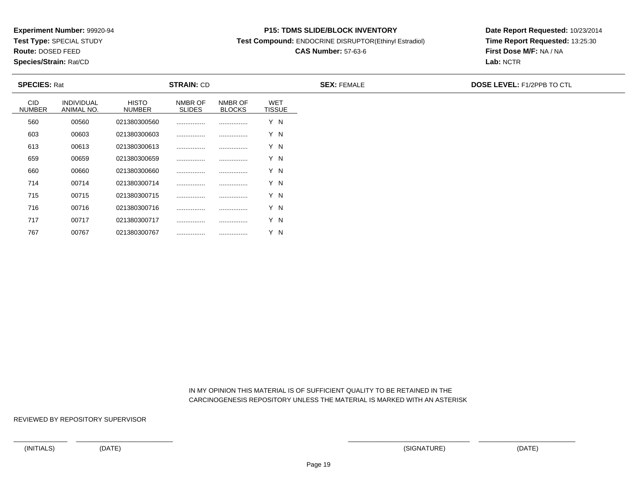**Test Type:** SPECIAL STUDY

**Route:** DOSED FEED

767

**Species/Strain:** Rat/CD

#### **P15: TDMS SLIDE/BLOCK INVENTORY**

**Test Compound:** ENDOCRINE DISRUPTOR(Ethinyl Estradiol)

# **CAS Number:** 57-63-6

**Date Report Requested:** 10/23/2014**Time Report Requested:** 13:25:30**First Dose M/F:** NA / NA**Lab:** NCTR

| <b>SPECIES: Rat</b>         |                                 |                               | <b>STRAIN: CD</b>        |                          |                             | <b>SEX: FEMALE</b> | <b>DOSE LEVEL: F1/2PPB TO CTL</b> |
|-----------------------------|---------------------------------|-------------------------------|--------------------------|--------------------------|-----------------------------|--------------------|-----------------------------------|
| <b>CID</b><br><b>NUMBER</b> | <b>INDIVIDUAL</b><br>ANIMAL NO. | <b>HISTO</b><br><b>NUMBER</b> | NMBR OF<br><b>SLIDES</b> | NMBR OF<br><b>BLOCKS</b> | <b>WET</b><br><b>TISSUE</b> |                    |                                   |
| 560                         | 00560                           | 021380300560                  |                          |                          | Y N                         |                    |                                   |
| 603                         | 00603                           | 021380300603                  |                          |                          | Y N                         |                    |                                   |
| 613                         | 00613                           | 021380300613                  |                          |                          | Y N                         |                    |                                   |
| 659                         | 00659                           | 021380300659                  |                          |                          | Y N                         |                    |                                   |
| 660                         | 00660                           | 021380300660                  |                          |                          | Y N                         |                    |                                   |
| 714                         | 00714                           | 021380300714                  |                          |                          | Y N                         |                    |                                   |
| 715                         | 00715                           | 021380300715                  |                          |                          | Y N                         |                    |                                   |
| 716                         | 00716                           | 021380300716                  |                          |                          | Y N                         |                    |                                   |
| 717                         | 00717                           | 021380300717                  |                          |                          | Y N                         |                    |                                   |

 IN MY OPINION THIS MATERIAL IS OF SUFFICIENT QUALITY TO BE RETAINED IN THECARCINOGENESIS REPOSITORY UNLESS THE MATERIAL IS MARKED WITH AN ASTERISK

REVIEWED BY REPOSITORY SUPERVISOR

<sup>00767</sup> <sup>021380300767</sup> ................ ................ Y N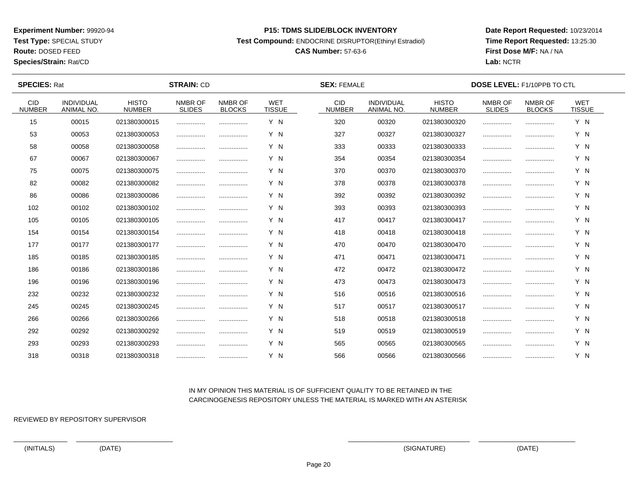**Test Type:** SPECIAL STUDY

**Route:** DOSED FEED

**Species/Strain:** Rat/CD

#### **P15: TDMS SLIDE/BLOCK INVENTORY**

**Test Compound:** ENDOCRINE DISRUPTOR(Ethinyl Estradiol)

# **CAS Number:** 57-63-6

**Date Report Requested:** 10/23/2014**Time Report Requested:** 13:25:30**First Dose M/F:** NA / NA**Lab:** NCTR

| <b>SPECIES: Rat</b>         |                                 |                               | <b>STRAIN: CD</b>        |                          |                             | <b>SEX: FEMALE</b>          |                                 |                               | <b>DOSE LEVEL: F1/10PPB TO CTL</b> |                          |                             |  |
|-----------------------------|---------------------------------|-------------------------------|--------------------------|--------------------------|-----------------------------|-----------------------------|---------------------------------|-------------------------------|------------------------------------|--------------------------|-----------------------------|--|
| <b>CID</b><br><b>NUMBER</b> | INDIVIDUAL<br><b>ANIMAL NO.</b> | <b>HISTO</b><br><b>NUMBER</b> | NMBR OF<br><b>SLIDES</b> | NMBR OF<br><b>BLOCKS</b> | <b>WET</b><br><b>TISSUE</b> | <b>CID</b><br><b>NUMBER</b> | INDIVIDUAL<br><b>ANIMAL NO.</b> | <b>HISTO</b><br><b>NUMBER</b> | NMBR OF<br><b>SLIDES</b>           | NMBR OF<br><b>BLOCKS</b> | <b>WET</b><br><b>TISSUE</b> |  |
| 15                          | 00015                           | 021380300015                  |                          |                          | Y N                         | 320                         | 00320                           | 021380300320                  |                                    |                          | Y N                         |  |
| 53                          | 00053                           | 021380300053                  |                          |                          | Y N                         | 327                         | 00327                           | 021380300327                  |                                    |                          | Y N                         |  |
| 58                          | 00058                           | 021380300058                  |                          |                          | Y N                         | 333                         | 00333                           | 021380300333                  |                                    |                          | Y N                         |  |
| 67                          | 00067                           | 021380300067                  |                          |                          | Y N                         | 354                         | 00354                           | 021380300354                  |                                    |                          | Y N                         |  |
| 75                          | 00075                           | 021380300075                  |                          |                          | Y N                         | 370                         | 00370                           | 021380300370                  |                                    |                          | Y N                         |  |
| 82                          | 00082                           | 021380300082                  |                          |                          | Y N                         | 378                         | 00378                           | 021380300378                  |                                    |                          | Y N                         |  |
| 86                          | 00086                           | 021380300086                  |                          |                          | Y N                         | 392                         | 00392                           | 021380300392                  |                                    |                          | Y N                         |  |
| 102                         | 00102                           | 021380300102                  |                          |                          | Y N                         | 393                         | 00393                           | 021380300393                  |                                    |                          | Y N                         |  |
| 105                         | 00105                           | 021380300105                  |                          |                          | Y N                         | 417                         | 00417                           | 021380300417                  |                                    |                          | Y N                         |  |
| 154                         | 00154                           | 021380300154                  |                          |                          | Y N                         | 418                         | 00418                           | 021380300418                  |                                    |                          | Y N                         |  |
| 177                         | 00177                           | 021380300177                  |                          |                          | Y N                         | 470                         | 00470                           | 021380300470                  |                                    |                          | Y N                         |  |
| 185                         | 00185                           | 021380300185                  |                          |                          | Y N                         | 471                         | 00471                           | 021380300471                  |                                    |                          | Y N                         |  |
| 186                         | 00186                           | 021380300186                  |                          |                          | Y N                         | 472                         | 00472                           | 021380300472                  |                                    |                          | Y N                         |  |
| 196                         | 00196                           | 021380300196                  |                          |                          | Y N                         | 473                         | 00473                           | 021380300473                  |                                    |                          | Y N                         |  |
| 232                         | 00232                           | 021380300232                  |                          |                          | Y N                         | 516                         | 00516                           | 021380300516                  |                                    |                          | Y N                         |  |
| 245                         | 00245                           | 021380300245                  |                          |                          | Y N                         | 517                         | 00517                           | 021380300517                  |                                    |                          | Y N                         |  |
| 266                         | 00266                           | 021380300266                  |                          |                          | Y N                         | 518                         | 00518                           | 021380300518                  |                                    |                          | Y N                         |  |
| 292                         | 00292                           | 021380300292                  |                          |                          | Y N                         | 519                         | 00519                           | 021380300519                  |                                    |                          | Y N                         |  |
| 293                         | 00293                           | 021380300293                  |                          |                          | Y N                         | 565                         | 00565                           | 021380300565                  |                                    |                          | Y N                         |  |
| 318                         | 00318                           | 021380300318                  |                          |                          | Y N                         | 566                         | 00566                           | 021380300566                  |                                    |                          | Y N                         |  |

## IN MY OPINION THIS MATERIAL IS OF SUFFICIENT QUALITY TO BE RETAINED IN THECARCINOGENESIS REPOSITORY UNLESS THE MATERIAL IS MARKED WITH AN ASTERISK

REVIEWED BY REPOSITORY SUPERVISOR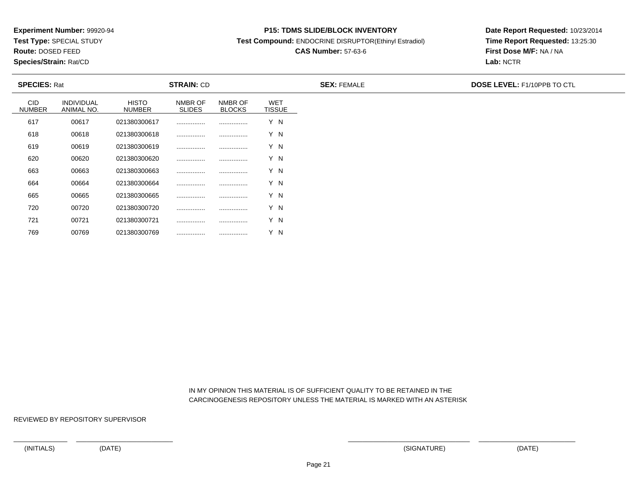**Test Type:** SPECIAL STUDY

**Route:** DOSED FEED

769

**Species/Strain:** Rat/CD

#### **P15: TDMS SLIDE/BLOCK INVENTORY**

**Test Compound:** ENDOCRINE DISRUPTOR(Ethinyl Estradiol)

# **CAS Number:** 57-63-6

**Date Report Requested:** 10/23/2014**Time Report Requested:** 13:25:30**First Dose M/F:** NA / NA**Lab:** NCTR

| <b>SPECIES: Rat</b>         |                                 |                               | <b>STRAIN: CD</b>        |                          |                             | <b>SEX: FEMALE</b> | <b>DOSE LEVEL: F1/10PPB TO CTL</b> |
|-----------------------------|---------------------------------|-------------------------------|--------------------------|--------------------------|-----------------------------|--------------------|------------------------------------|
| <b>CID</b><br><b>NUMBER</b> | <b>INDIVIDUAL</b><br>ANIMAL NO. | <b>HISTO</b><br><b>NUMBER</b> | NMBR OF<br><b>SLIDES</b> | NMBR OF<br><b>BLOCKS</b> | <b>WET</b><br><b>TISSUE</b> |                    |                                    |
| 617                         | 00617                           | 021380300617                  |                          |                          | Y N                         |                    |                                    |
| 618                         | 00618                           | 021380300618                  |                          |                          | Y N                         |                    |                                    |
| 619                         | 00619                           | 021380300619                  |                          |                          | Y N                         |                    |                                    |
| 620                         | 00620                           | 021380300620                  |                          |                          | Y N                         |                    |                                    |
| 663                         | 00663                           | 021380300663                  |                          |                          | Y N                         |                    |                                    |
| 664                         | 00664                           | 021380300664                  |                          |                          | Y N                         |                    |                                    |
| 665                         | 00665                           | 021380300665                  |                          |                          | Y N                         |                    |                                    |
| 720                         | 00720                           | 021380300720                  |                          |                          | Y N                         |                    |                                    |
| 721                         | 00721                           | 021380300721                  |                          |                          | Y N                         |                    |                                    |

 IN MY OPINION THIS MATERIAL IS OF SUFFICIENT QUALITY TO BE RETAINED IN THECARCINOGENESIS REPOSITORY UNLESS THE MATERIAL IS MARKED WITH AN ASTERISK

REVIEWED BY REPOSITORY SUPERVISOR

<sup>00769</sup> <sup>021380300769</sup> ................ ................ Y N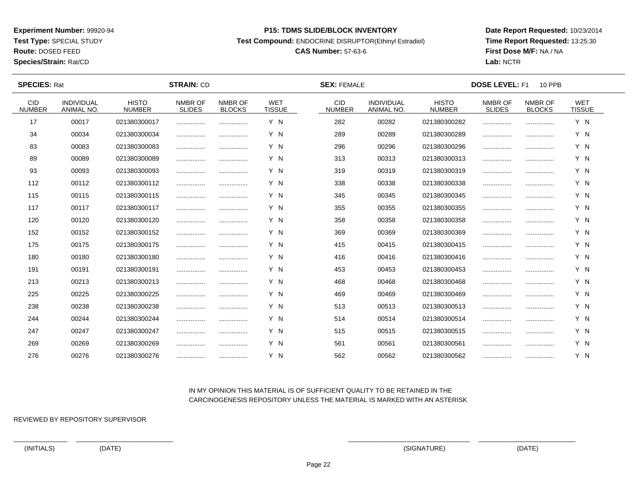**Test Type:** SPECIAL STUDY

**Route:** DOSED FEED

**Species/Strain:** Rat/CD

#### **P15: TDMS SLIDE/BLOCK INVENTORY**

**Test Compound:** ENDOCRINE DISRUPTOR(Ethinyl Estradiol)

# **CAS Number:** 57-63-6

**Date Report Requested:** 10/23/2014**Time Report Requested:** 13:25:30**First Dose M/F:** NA / NA**Lab:** NCTR

 $\overline{\phantom{a}}$ 

| <b>SPECIES: Rat</b>         |                                 |                               | <b>STRAIN: CD</b>        |                          |                             | <b>SEX: FEMALE</b>          |                                 |                               | <b>DOSE LEVEL: F1</b>    | <b>10 PPB</b>            |                             |  |
|-----------------------------|---------------------------------|-------------------------------|--------------------------|--------------------------|-----------------------------|-----------------------------|---------------------------------|-------------------------------|--------------------------|--------------------------|-----------------------------|--|
| <b>CID</b><br><b>NUMBER</b> | <b>INDIVIDUAL</b><br>ANIMAL NO. | <b>HISTO</b><br><b>NUMBER</b> | NMBR OF<br><b>SLIDES</b> | NMBR OF<br><b>BLOCKS</b> | <b>WET</b><br><b>TISSUE</b> | <b>CID</b><br><b>NUMBER</b> | <b>INDIVIDUAL</b><br>ANIMAL NO. | <b>HISTO</b><br><b>NUMBER</b> | NMBR OF<br><b>SLIDES</b> | NMBR OF<br><b>BLOCKS</b> | <b>WET</b><br><b>TISSUE</b> |  |
| 17                          | 00017                           | 021380300017                  |                          |                          | Y N                         | 282                         | 00282                           | 021380300282                  |                          |                          | Y N                         |  |
| 34                          | 00034                           | 021380300034                  |                          | .                        | Y N                         | 289                         | 00289                           | 021380300289                  |                          |                          | Y N                         |  |
| 83                          | 00083                           | 021380300083                  |                          |                          | Y N                         | 296                         | 00296                           | 021380300296                  |                          |                          | Y N                         |  |
| 89                          | 00089                           | 021380300089                  |                          |                          | Y N                         | 313                         | 00313                           | 021380300313                  |                          |                          | Y N                         |  |
| 93                          | 00093                           | 021380300093                  |                          |                          | Y N                         | 319                         | 00319                           | 021380300319                  |                          |                          | Y N                         |  |
| 112                         | 00112                           | 021380300112                  |                          |                          | Y N                         | 338                         | 00338                           | 021380300338                  |                          |                          | Y N                         |  |
| 115                         | 00115                           | 021380300115                  |                          |                          | Y N                         | 345                         | 00345                           | 021380300345                  |                          |                          | Y N                         |  |
| 117                         | 00117                           | 021380300117                  |                          |                          | Y N                         | 355                         | 00355                           | 021380300355                  |                          |                          | Y N                         |  |
| 120                         | 00120                           | 021380300120                  |                          |                          | Y N                         | 358                         | 00358                           | 021380300358                  |                          |                          | Y N                         |  |
| 152                         | 00152                           | 021380300152                  |                          |                          | Y N                         | 369                         | 00369                           | 021380300369                  |                          |                          | Y N                         |  |
| 175                         | 00175                           | 021380300175                  |                          |                          | Y N                         | 415                         | 00415                           | 021380300415                  |                          |                          | Y N                         |  |
| 180                         | 00180                           | 021380300180                  |                          |                          | Y N                         | 416                         | 00416                           | 021380300416                  |                          |                          | Y N                         |  |
| 191                         | 00191                           | 021380300191                  |                          |                          | Y N                         | 453                         | 00453                           | 021380300453                  |                          |                          | Y N                         |  |
| 213                         | 00213                           | 021380300213                  |                          |                          | Y N                         | 468                         | 00468                           | 021380300468                  |                          |                          | Y N                         |  |
| 225                         | 00225                           | 021380300225                  |                          | .                        | Y N                         | 469                         | 00469                           | 021380300469                  |                          |                          | Y N                         |  |
| 238                         | 00238                           | 021380300238                  |                          |                          | Y N                         | 513                         | 00513                           | 021380300513                  |                          |                          | Y N                         |  |
| 244                         | 00244                           | 021380300244                  |                          |                          | Y N                         | 514                         | 00514                           | 021380300514                  |                          |                          | Y N                         |  |
| 247                         | 00247                           | 021380300247                  |                          |                          | Y N                         | 515                         | 00515                           | 021380300515                  |                          |                          | Y N                         |  |
| 269                         | 00269                           | 021380300269                  | .                        |                          | Y N                         | 561                         | 00561                           | 021380300561                  |                          |                          | Y N                         |  |
| 276                         | 00276                           | 021380300276                  |                          |                          | Y N                         | 562                         | 00562                           | 021380300562                  |                          |                          | Y N                         |  |

## IN MY OPINION THIS MATERIAL IS OF SUFFICIENT QUALITY TO BE RETAINED IN THECARCINOGENESIS REPOSITORY UNLESS THE MATERIAL IS MARKED WITH AN ASTERISK

REVIEWED BY REPOSITORY SUPERVISOR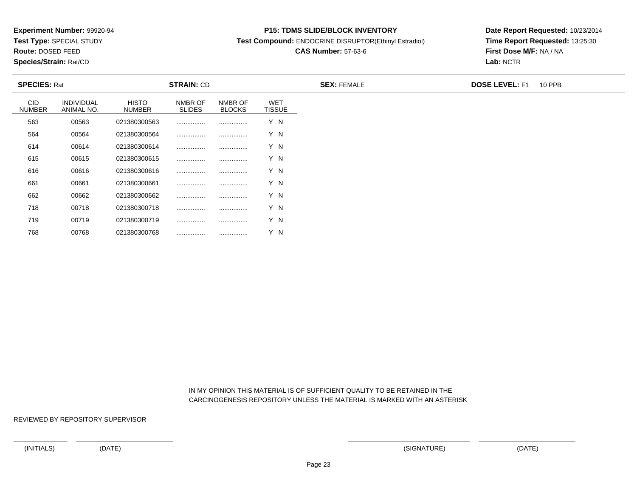**Test Type:** SPECIAL STUDY

**Route:** DOSED FEED

768

**Species/Strain:** Rat/CD

#### **P15: TDMS SLIDE/BLOCK INVENTORY**

**Test Compound:** ENDOCRINE DISRUPTOR(Ethinyl Estradiol)

# **CAS Number:** 57-63-6

**Date Report Requested:** 10/23/2014**Time Report Requested:** 13:25:30**First Dose M/F:** NA / NA**Lab:** NCTR

| <b>SPECIES: Rat</b>         |                                 |                               | <b>STRAIN: CD</b>        |                          |                             | <b>SEX: FEMALE</b> | <b>DOSE LEVEL: F1</b> | <b>10 PPB</b> |
|-----------------------------|---------------------------------|-------------------------------|--------------------------|--------------------------|-----------------------------|--------------------|-----------------------|---------------|
| <b>CID</b><br><b>NUMBER</b> | <b>INDIVIDUAL</b><br>ANIMAL NO. | <b>HISTO</b><br><b>NUMBER</b> | NMBR OF<br><b>SLIDES</b> | NMBR OF<br><b>BLOCKS</b> | <b>WET</b><br><b>TISSUE</b> |                    |                       |               |
| 563                         | 00563                           | 021380300563                  |                          |                          | Y N                         |                    |                       |               |
| 564                         | 00564                           | 021380300564                  |                          |                          | Y N                         |                    |                       |               |
| 614                         | 00614                           | 021380300614                  |                          |                          | Y N                         |                    |                       |               |
| 615                         | 00615                           | 021380300615                  |                          |                          | Y N                         |                    |                       |               |
| 616                         | 00616                           | 021380300616                  |                          |                          | Y N                         |                    |                       |               |
| 661                         | 00661                           | 021380300661                  |                          |                          | Y N                         |                    |                       |               |
| 662                         | 00662                           | 021380300662                  |                          |                          | Y N                         |                    |                       |               |
| 718                         | 00718                           | 021380300718                  |                          |                          | Y N                         |                    |                       |               |
| 719                         | 00719                           | 021380300719                  |                          |                          | Y N                         |                    |                       |               |

 IN MY OPINION THIS MATERIAL IS OF SUFFICIENT QUALITY TO BE RETAINED IN THECARCINOGENESIS REPOSITORY UNLESS THE MATERIAL IS MARKED WITH AN ASTERISK

REVIEWED BY REPOSITORY SUPERVISOR

<sup>00768</sup> <sup>021380300768</sup> ................ ................ Y N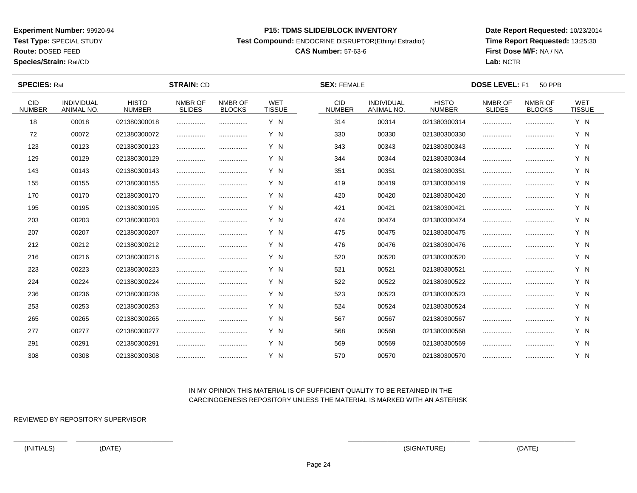**Test Type:** SPECIAL STUDY

**Route:** DOSED FEED

**Species/Strain:** Rat/CD

#### **P15: TDMS SLIDE/BLOCK INVENTORY**

**Test Compound:** ENDOCRINE DISRUPTOR(Ethinyl Estradiol)

# **CAS Number:** 57-63-6

**Date Report Requested:** 10/23/2014**Time Report Requested:** 13:25:30**First Dose M/F:** NA / NA**Lab:** NCTR

 $\overline{\phantom{a}}$ 

| <b>SPECIES: Rat</b>         |                                 |                               | <b>STRAIN: CD</b>        |                          | <b>SEX: FEMALE</b>          |                             |                                 | <b>DOSE LEVEL: F1</b><br><b>50 PPB</b> |                          |                          |                             |  |
|-----------------------------|---------------------------------|-------------------------------|--------------------------|--------------------------|-----------------------------|-----------------------------|---------------------------------|----------------------------------------|--------------------------|--------------------------|-----------------------------|--|
| <b>CID</b><br><b>NUMBER</b> | <b>INDIVIDUAL</b><br>ANIMAL NO. | <b>HISTO</b><br><b>NUMBER</b> | NMBR OF<br><b>SLIDES</b> | NMBR OF<br><b>BLOCKS</b> | <b>WET</b><br><b>TISSUE</b> | <b>CID</b><br><b>NUMBER</b> | <b>INDIVIDUAL</b><br>ANIMAL NO. | <b>HISTO</b><br><b>NUMBER</b>          | NMBR OF<br><b>SLIDES</b> | NMBR OF<br><b>BLOCKS</b> | <b>WET</b><br><b>TISSUE</b> |  |
| 18                          | 00018                           | 021380300018                  |                          |                          | Y N                         | 314                         | 00314                           | 021380300314                           |                          |                          | Y N                         |  |
| 72                          | 00072                           | 021380300072                  |                          |                          | Y N                         | 330                         | 00330                           | 021380300330                           |                          |                          | Y N                         |  |
| 123                         | 00123                           | 021380300123                  |                          |                          | Y N                         | 343                         | 00343                           | 021380300343                           |                          |                          | Y N                         |  |
| 129                         | 00129                           | 021380300129                  |                          |                          | Y N                         | 344                         | 00344                           | 021380300344                           |                          |                          | Y N                         |  |
| 143                         | 00143                           | 021380300143                  |                          |                          | Y N                         | 351                         | 00351                           | 021380300351                           |                          |                          | Y N                         |  |
| 155                         | 00155                           | 021380300155                  |                          |                          | Y N                         | 419                         | 00419                           | 021380300419                           |                          |                          | Y N                         |  |
| 170                         | 00170                           | 021380300170                  |                          |                          | Y N                         | 420                         | 00420                           | 021380300420                           |                          |                          | Y N                         |  |
| 195                         | 00195                           | 021380300195                  |                          |                          | Y N                         | 421                         | 00421                           | 021380300421                           |                          |                          | Y N                         |  |
| 203                         | 00203                           | 021380300203                  |                          |                          | Y N                         | 474                         | 00474                           | 021380300474                           |                          |                          | Y N                         |  |
| 207                         | 00207                           | 021380300207                  |                          |                          | Y N                         | 475                         | 00475                           | 021380300475                           |                          |                          | Y N                         |  |
| 212                         | 00212                           | 021380300212                  |                          |                          | Y N                         | 476                         | 00476                           | 021380300476                           |                          |                          | Y N                         |  |
| 216                         | 00216                           | 021380300216                  |                          |                          | Y N                         | 520                         | 00520                           | 021380300520                           |                          |                          | Y N                         |  |
| 223                         | 00223                           | 021380300223                  |                          |                          | Y N                         | 521                         | 00521                           | 021380300521                           |                          |                          | Y N                         |  |
| 224                         | 00224                           | 021380300224                  |                          |                          | Y N                         | 522                         | 00522                           | 021380300522                           |                          |                          | Y N                         |  |
| 236                         | 00236                           | 021380300236                  |                          |                          | Y N                         | 523                         | 00523                           | 021380300523                           |                          |                          | Y N                         |  |
| 253                         | 00253                           | 021380300253                  |                          |                          | Y N                         | 524                         | 00524                           | 021380300524                           |                          |                          | Y N                         |  |
| 265                         | 00265                           | 021380300265                  |                          | .                        | Y N                         | 567                         | 00567                           | 021380300567                           |                          |                          | Y N                         |  |
| 277                         | 00277                           | 021380300277                  |                          |                          | Y N                         | 568                         | 00568                           | 021380300568                           |                          |                          | Y N                         |  |
| 291                         | 00291                           | 021380300291                  |                          |                          | Y N                         | 569                         | 00569                           | 021380300569                           |                          |                          | Y N                         |  |
| 308                         | 00308                           | 021380300308                  |                          |                          | Y N                         | 570                         | 00570                           | 021380300570                           |                          |                          | Y N                         |  |

## IN MY OPINION THIS MATERIAL IS OF SUFFICIENT QUALITY TO BE RETAINED IN THECARCINOGENESIS REPOSITORY UNLESS THE MATERIAL IS MARKED WITH AN ASTERISK

REVIEWED BY REPOSITORY SUPERVISOR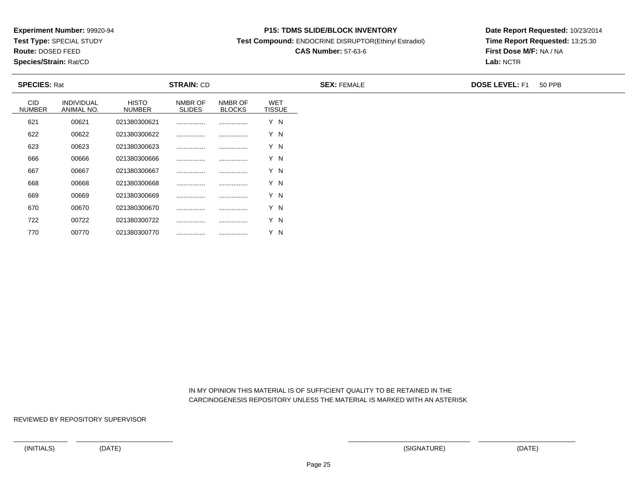**Test Type:** SPECIAL STUDY

**Route:** DOSED FEED

770

**Species/Strain:** Rat/CD

#### **P15: TDMS SLIDE/BLOCK INVENTORY**

**Test Compound:** ENDOCRINE DISRUPTOR(Ethinyl Estradiol)

# **CAS Number:** 57-63-6

**Date Report Requested:** 10/23/2014**Time Report Requested:** 13:25:30**First Dose M/F:** NA / NA**Lab:** NCTR

| <b>SPECIES: Rat</b>         |                                 |                               | <b>STRAIN: CD</b>        |                          |                             | <b>SEX: FEMALE</b> | <b>DOSE LEVEL: F1</b> | 50 PPB |
|-----------------------------|---------------------------------|-------------------------------|--------------------------|--------------------------|-----------------------------|--------------------|-----------------------|--------|
| <b>CID</b><br><b>NUMBER</b> | <b>INDIVIDUAL</b><br>ANIMAL NO. | <b>HISTO</b><br><b>NUMBER</b> | NMBR OF<br><b>SLIDES</b> | NMBR OF<br><b>BLOCKS</b> | <b>WET</b><br><b>TISSUE</b> |                    |                       |        |
| 621                         | 00621                           | 021380300621                  |                          |                          | Y N                         |                    |                       |        |
| 622                         | 00622                           | 021380300622                  |                          |                          | Y N                         |                    |                       |        |
| 623                         | 00623                           | 021380300623                  |                          |                          | Y N                         |                    |                       |        |
| 666                         | 00666                           | 021380300666                  |                          |                          | Y N                         |                    |                       |        |
| 667                         | 00667                           | 021380300667                  |                          |                          | Y N                         |                    |                       |        |
| 668                         | 00668                           | 021380300668                  |                          |                          | Y N                         |                    |                       |        |
| 669                         | 00669                           | 021380300669                  |                          |                          | Y N                         |                    |                       |        |
| 670                         | 00670                           | 021380300670                  |                          |                          | Y N                         |                    |                       |        |
| 722                         | 00722                           | 021380300722                  |                          |                          | Y N                         |                    |                       |        |

 IN MY OPINION THIS MATERIAL IS OF SUFFICIENT QUALITY TO BE RETAINED IN THECARCINOGENESIS REPOSITORY UNLESS THE MATERIAL IS MARKED WITH AN ASTERISK

REVIEWED BY REPOSITORY SUPERVISOR

<sup>00770</sup> <sup>021380300770</sup> ................ ................ Y N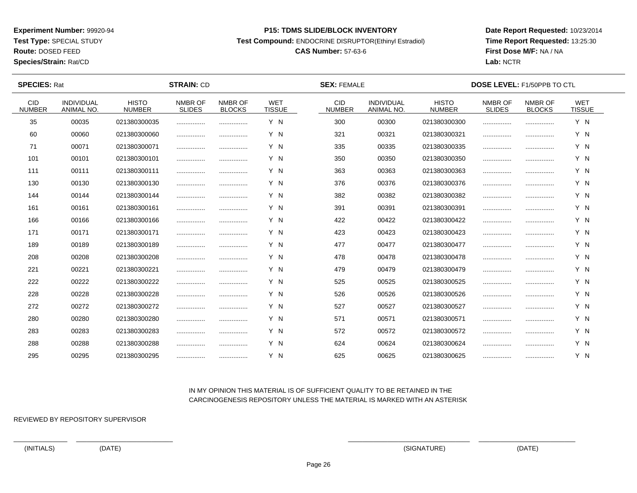**Test Type:** SPECIAL STUDY

**Route:** DOSED FEED

**Species/Strain:** Rat/CD

#### **P15: TDMS SLIDE/BLOCK INVENTORY**

**Test Compound:** ENDOCRINE DISRUPTOR(Ethinyl Estradiol)

# **CAS Number:** 57-63-6

**Date Report Requested:** 10/23/2014**Time Report Requested:** 13:25:30**First Dose M/F:** NA / NA**Lab:** NCTR

| <b>SPECIES: Rat</b>         |                                 |                               | <b>STRAIN: CD</b>        |                          |                             | <b>SEX: FEMALE</b>          |                                 |                               | <b>DOSE LEVEL: F1/50PPB TO CTL</b> |                          |                             |  |
|-----------------------------|---------------------------------|-------------------------------|--------------------------|--------------------------|-----------------------------|-----------------------------|---------------------------------|-------------------------------|------------------------------------|--------------------------|-----------------------------|--|
| <b>CID</b><br><b>NUMBER</b> | INDIVIDUAL<br><b>ANIMAL NO.</b> | <b>HISTO</b><br><b>NUMBER</b> | NMBR OF<br><b>SLIDES</b> | NMBR OF<br><b>BLOCKS</b> | <b>WET</b><br><b>TISSUE</b> | <b>CID</b><br><b>NUMBER</b> | INDIVIDUAL<br><b>ANIMAL NO.</b> | <b>HISTO</b><br><b>NUMBER</b> | NMBR OF<br><b>SLIDES</b>           | NMBR OF<br><b>BLOCKS</b> | <b>WET</b><br><b>TISSUE</b> |  |
| 35                          | 00035                           | 021380300035                  |                          |                          | Y N                         | 300                         | 00300                           | 021380300300                  |                                    |                          | Y N                         |  |
| 60                          | 00060                           | 021380300060                  |                          |                          | Y N                         | 321                         | 00321                           | 021380300321                  |                                    |                          | Y N                         |  |
| 71                          | 00071                           | 021380300071                  |                          |                          | Y N                         | 335                         | 00335                           | 021380300335                  |                                    |                          | Y N                         |  |
| 101                         | 00101                           | 021380300101                  |                          |                          | Y N                         | 350                         | 00350                           | 021380300350                  |                                    |                          | Y N                         |  |
| 111                         | 00111                           | 021380300111                  |                          |                          | Y N                         | 363                         | 00363                           | 021380300363                  |                                    |                          | Y N                         |  |
| 130                         | 00130                           | 021380300130                  |                          |                          | Y N                         | 376                         | 00376                           | 021380300376                  |                                    |                          | Y N                         |  |
| 144                         | 00144                           | 021380300144                  |                          |                          | Y N                         | 382                         | 00382                           | 021380300382                  |                                    |                          | Y N                         |  |
| 161                         | 00161                           | 021380300161                  |                          |                          | Y N                         | 391                         | 00391                           | 021380300391                  |                                    |                          | Y N                         |  |
| 166                         | 00166                           | 021380300166                  |                          |                          | Y N                         | 422                         | 00422                           | 021380300422                  |                                    |                          | Y N                         |  |
| 171                         | 00171                           | 021380300171                  |                          |                          | Y N                         | 423                         | 00423                           | 021380300423                  |                                    |                          | Y N                         |  |
| 189                         | 00189                           | 021380300189                  |                          |                          | Y N                         | 477                         | 00477                           | 021380300477                  |                                    |                          | Y N                         |  |
| 208                         | 00208                           | 021380300208                  |                          |                          | Y N                         | 478                         | 00478                           | 021380300478                  |                                    |                          | Y N                         |  |
| 221                         | 00221                           | 021380300221                  |                          |                          | Y N                         | 479                         | 00479                           | 021380300479                  |                                    |                          | Y N                         |  |
| 222                         | 00222                           | 021380300222                  |                          |                          | Y N                         | 525                         | 00525                           | 021380300525                  |                                    |                          | Y N                         |  |
| 228                         | 00228                           | 021380300228                  |                          |                          | Y N                         | 526                         | 00526                           | 021380300526                  |                                    |                          | Y N                         |  |
| 272                         | 00272                           | 021380300272                  |                          |                          | Y N                         | 527                         | 00527                           | 021380300527                  |                                    |                          | Y N                         |  |
| 280                         | 00280                           | 021380300280                  |                          |                          | Y N                         | 571                         | 00571                           | 021380300571                  |                                    |                          | Y N                         |  |
| 283                         | 00283                           | 021380300283                  |                          |                          | Y N                         | 572                         | 00572                           | 021380300572                  |                                    |                          | Y N                         |  |
| 288                         | 00288                           | 021380300288                  |                          |                          | Y N                         | 624                         | 00624                           | 021380300624                  |                                    |                          | Y N                         |  |
| 295                         | 00295                           | 021380300295                  |                          |                          | Y N                         | 625                         | 00625                           | 021380300625                  |                                    |                          | Y N                         |  |

## IN MY OPINION THIS MATERIAL IS OF SUFFICIENT QUALITY TO BE RETAINED IN THECARCINOGENESIS REPOSITORY UNLESS THE MATERIAL IS MARKED WITH AN ASTERISK

REVIEWED BY REPOSITORY SUPERVISOR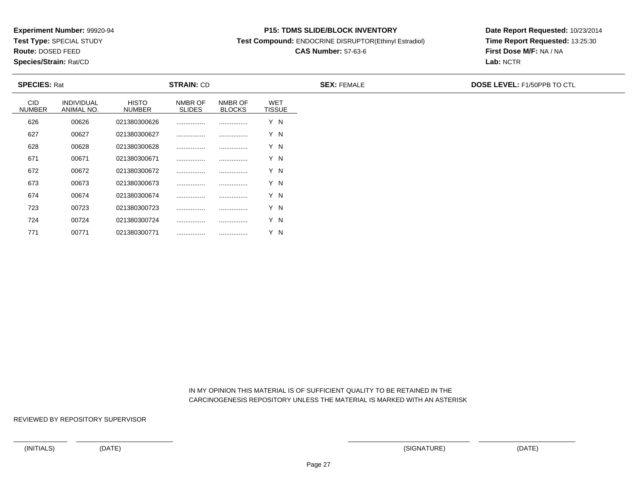**Test Type:** SPECIAL STUDY

**Route:** DOSED FEED

771

**Species/Strain:** Rat/CD

#### **P15: TDMS SLIDE/BLOCK INVENTORY**

**Test Compound:** ENDOCRINE DISRUPTOR(Ethinyl Estradiol)

# **CAS Number:** 57-63-6

**Date Report Requested:** 10/23/2014**Time Report Requested:** 13:25:30**First Dose M/F:** NA / NA**Lab:** NCTR

| <b>SPECIES: Rat</b>         |                                 |                               | <b>STRAIN: CD</b>        |                          |                             | <b>SEX: FEMALE</b> | <b>DOSE LEVEL: F1/50PPB TO CTL</b> |
|-----------------------------|---------------------------------|-------------------------------|--------------------------|--------------------------|-----------------------------|--------------------|------------------------------------|
| <b>CID</b><br><b>NUMBER</b> | <b>INDIVIDUAL</b><br>ANIMAL NO. | <b>HISTO</b><br><b>NUMBER</b> | NMBR OF<br><b>SLIDES</b> | NMBR OF<br><b>BLOCKS</b> | <b>WET</b><br><b>TISSUE</b> |                    |                                    |
| 626                         | 00626                           | 021380300626                  |                          |                          | Y N                         |                    |                                    |
| 627                         | 00627                           | 021380300627                  |                          |                          | Y N                         |                    |                                    |
| 628                         | 00628                           | 021380300628                  |                          |                          | Y N                         |                    |                                    |
| 671                         | 00671                           | 021380300671                  |                          |                          | Y N                         |                    |                                    |
| 672                         | 00672                           | 021380300672                  |                          |                          | Y N                         |                    |                                    |
| 673                         | 00673                           | 021380300673                  |                          |                          | Y N                         |                    |                                    |
| 674                         | 00674                           | 021380300674                  |                          |                          | Y N                         |                    |                                    |
| 723                         | 00723                           | 021380300723                  |                          |                          | Y N                         |                    |                                    |
| 724                         | 00724                           | 021380300724                  |                          |                          | Y N                         |                    |                                    |

 IN MY OPINION THIS MATERIAL IS OF SUFFICIENT QUALITY TO BE RETAINED IN THECARCINOGENESIS REPOSITORY UNLESS THE MATERIAL IS MARKED WITH AN ASTERISK

REVIEWED BY REPOSITORY SUPERVISOR

<sup>00771</sup> <sup>021380300771</sup> ................ ................ Y N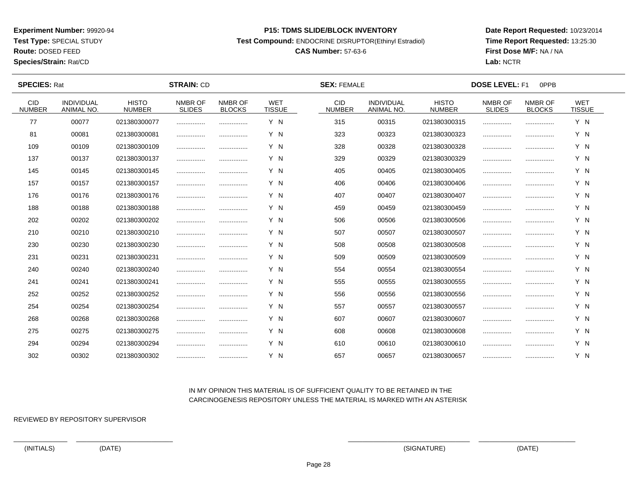**Test Type:** SPECIAL STUDY

**Route:** DOSED FEED

**Species/Strain:** Rat/CD

#### **P15: TDMS SLIDE/BLOCK INVENTORY**

**Test Compound:** ENDOCRINE DISRUPTOR(Ethinyl Estradiol)

# **CAS Number:** 57-63-6

**Date Report Requested:** 10/23/2014**Time Report Requested:** 13:25:30**First Dose M/F:** NA / NA**Lab:** NCTR

| <b>SPECIES: Rat</b>         |                                 |                               | <b>STRAIN: CD</b>        |                          | <b>SEX: FEMALE</b>          |                             |                                        | <b>DOSE LEVEL: F1</b><br>0PPB |                          |                          |                             |  |
|-----------------------------|---------------------------------|-------------------------------|--------------------------|--------------------------|-----------------------------|-----------------------------|----------------------------------------|-------------------------------|--------------------------|--------------------------|-----------------------------|--|
| <b>CID</b><br><b>NUMBER</b> | <b>INDIVIDUAL</b><br>ANIMAL NO. | <b>HISTO</b><br><b>NUMBER</b> | NMBR OF<br><b>SLIDES</b> | NMBR OF<br><b>BLOCKS</b> | <b>WET</b><br><b>TISSUE</b> | <b>CID</b><br><b>NUMBER</b> | <b>INDIVIDUAL</b><br><b>ANIMAL NO.</b> | <b>HISTO</b><br><b>NUMBER</b> | NMBR OF<br><b>SLIDES</b> | NMBR OF<br><b>BLOCKS</b> | <b>WET</b><br><b>TISSUE</b> |  |
| 77                          | 00077                           | 021380300077                  |                          |                          | Y N                         | 315                         | 00315                                  | 021380300315                  |                          |                          | Y N                         |  |
| 81                          | 00081                           | 021380300081                  |                          |                          | Y N                         | 323                         | 00323                                  | 021380300323                  |                          |                          | Y N                         |  |
| 109                         | 00109                           | 021380300109                  |                          |                          | Y N                         | 328                         | 00328                                  | 021380300328                  |                          |                          | Y N                         |  |
| 137                         | 00137                           | 021380300137                  |                          |                          | Y N                         | 329                         | 00329                                  | 021380300329                  |                          |                          | Y N                         |  |
| 145                         | 00145                           | 021380300145                  |                          |                          | Y N                         | 405                         | 00405                                  | 021380300405                  |                          |                          | Y N                         |  |
| 157                         | 00157                           | 021380300157                  |                          |                          | Y N                         | 406                         | 00406                                  | 021380300406                  |                          |                          | Y N                         |  |
| 176                         | 00176                           | 021380300176                  |                          |                          | Y N                         | 407                         | 00407                                  | 021380300407                  |                          |                          | Y N                         |  |
| 188                         | 00188                           | 021380300188                  |                          |                          | Y N                         | 459                         | 00459                                  | 021380300459                  |                          |                          | Y N                         |  |
| 202                         | 00202                           | 021380300202                  |                          |                          | Y N                         | 506                         | 00506                                  | 021380300506                  |                          |                          | Y N                         |  |
| 210                         | 00210                           | 021380300210                  |                          |                          | Y N                         | 507                         | 00507                                  | 021380300507                  |                          |                          | Y N                         |  |
| 230                         | 00230                           | 021380300230                  |                          |                          | Y N                         | 508                         | 00508                                  | 021380300508                  |                          |                          | Y N                         |  |
| 231                         | 00231                           | 021380300231                  |                          |                          | Y N                         | 509                         | 00509                                  | 021380300509                  |                          |                          | Y N                         |  |
| 240                         | 00240                           | 021380300240                  |                          |                          | Y N                         | 554                         | 00554                                  | 021380300554                  |                          |                          | Y N                         |  |
| 241                         | 00241                           | 021380300241                  |                          | .                        | Y N                         | 555                         | 00555                                  | 021380300555                  |                          |                          | Y N                         |  |
| 252                         | 00252                           | 021380300252                  |                          |                          | Y N                         | 556                         | 00556                                  | 021380300556                  |                          |                          | Y N                         |  |
| 254                         | 00254                           | 021380300254                  |                          |                          | Y N                         | 557                         | 00557                                  | 021380300557                  |                          |                          | Y N                         |  |
| 268                         | 00268                           | 021380300268                  |                          |                          | Y N                         | 607                         | 00607                                  | 021380300607                  |                          |                          | Y N                         |  |
| 275                         | 00275                           | 021380300275                  |                          |                          | Y N                         | 608                         | 00608                                  | 021380300608                  |                          |                          | Y N                         |  |
| 294                         | 00294                           | 021380300294                  |                          |                          | Y N                         | 610                         | 00610                                  | 021380300610                  |                          |                          | Y N                         |  |
| 302                         | 00302                           | 021380300302                  |                          |                          | Y N                         | 657                         | 00657                                  | 021380300657                  |                          |                          | Y N                         |  |

## IN MY OPINION THIS MATERIAL IS OF SUFFICIENT QUALITY TO BE RETAINED IN THECARCINOGENESIS REPOSITORY UNLESS THE MATERIAL IS MARKED WITH AN ASTERISK

REVIEWED BY REPOSITORY SUPERVISOR